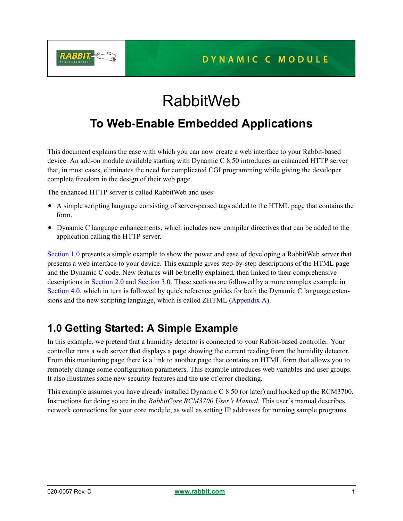

# RabbitWeb

## **To Web-Enable Embedded Applications**

This document explains the ease with which you can now create a web interface to your Rabbit-based device. An add-on module available starting with Dynamic C 8.50 introduces an enhanced HTTP server that, in most cases, eliminates the need for complicated CGI programming while giving the developer complete freedom in the design of their web page.

The enhanced HTTP server is called RabbitWeb and uses:

- A simple scripting language consisting of server-parsed tags added to the HTML page that contains the form.
- Dynamic C language enhancements, which includes new compiler directives that can be added to the application calling the HTTP server.

[Section 1.0](#page-0-0) presents a simple example to show the power and ease of developing a RabbitWeb server that presents a web interface to your device. This example gives step-by-step descriptions of the HTML page and the Dynamic C code. New features will be briefly explained, then linked to their comprehensive descriptions in [Section 2.0](#page-10-0) and [Section 3.0.](#page-19-0) These sections are followed by a more complex example in [Section 4.0](#page-26-0), which in turn is followed by quick reference guides for both the Dynamic C language extensions and the new scripting language, which is called ZHTML ([Appendix A\)](#page-39-0).

## <span id="page-0-0"></span>**1.0 Getting Started: A Simple Example**

In this example, we pretend that a humidity detector is connected to your Rabbit-based controller. Your controller runs a web server that displays a page showing the current reading from the humidity detector. From this monitoring page there is a link to another page that contains an HTML form that allows you to remotely change some configuration parameters. This example introduces web variables and user groups. It also illustrates some new security features and the use of error checking.

This example assumes you have already installed Dynamic C 8.50 (or later) and hooked up the RCM3700. Instructions for doing so are in the *RabbitCore RCM3700 User's Manual*. This user's manual describes network connections for your core module, as well as setting IP addresses for running sample programs.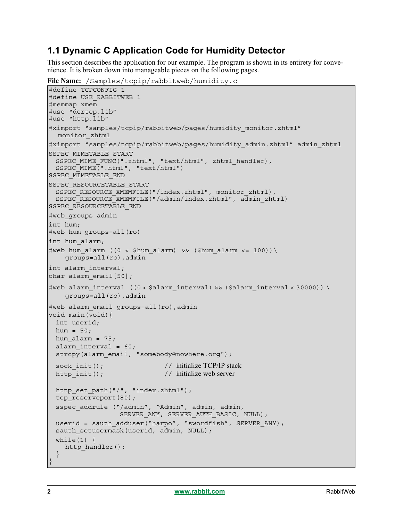### **1.1 Dynamic C Application Code for Humidity Detector**

This section describes the application for our example. The program is shown in its entirety for convenience. It is broken down into manageable pieces on the following pages.

**File Name:** /Samples/tcpip/rabbitweb/humidity.c

```
#define TCPCONFIG 1
#define USE_RABBITWEB 1
#memmap xmem
#use "dcrtcp.lib"
#use "http.lib"
#ximport "samples/tcpip/rabbitweb/pages/humidity monitor.zhtml"
  monitor_zhtml 
#ximport "samples/tcpip/rabbitweb/pages/humidity_admin.zhtml" admin_zhtml
SSPEC_MIMETABLE_START
 SSPEC MIME FUNC(".zhtml", "text/html", zhtml handler),
 SSPEC MIME(".html", "text/html")
SSPEC_MIMETABLE_END
SSPEC RESOURCETABLE START
 SSPEC_RESOURCE_XMEMFILE("/index.zhtml", monitor_zhtml),
 SSPEC_RESOURCE_XMEMFILE("/admin/index.zhtml", admin_zhtml)
SSPEC_RESOURCETABLE_END
#web_groups admin
int hum;
#web hum groups=all(ro)
int hum_alarm;
#web hum alarm ((0 < $hum alarm) && ($hum alarm <= 100))\
    groups=all(ro),admin
int alarm_interval;
char alarm email[50];
#web alarm interval ((0 < \nfalarm interval) && ($alarm interval < 30000)) \
    groups=all(ro),admin
#web alarm email groups=all(ro), admin
void main(void){
 int userid;
 hum = 50;
 hum alarm = 75;alarm interval = 60;strcpy(alarm email, "somebody@nowhere.org");
 sock init(); // initialize TCP/IP stack
 http_init(); // initialize web server
 http set path("/", "index.zhtml");
 tcp_reserveport(80);
 sspec addrule ("/admin", "Admin", admin, admin,
                 SERVER ANY, SERVER AUTH BASIC, NULL);
 userid = sauth adduser("harpo", "swordfish", SERVER ANY);
 sauth setusermask(userid, admin, NULL);
 while(1) \{http handler();
  }
}
```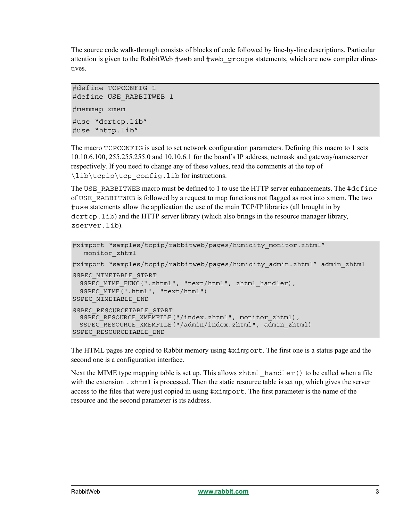The source code walk-through consists of blocks of code followed by line-by-line descriptions. Particular attention is given to the RabbitWeb #web and #web\_groups statements, which are new compiler directives.

```
#define TCPCONFIG 1
#define USE RABBITWEB 1
#memmap xmem
#use "dcrtcp.lib"
#use "http.lib"
```
The macro TCPCONFIG is used to set network configuration parameters. Defining this macro to 1 sets 10.10.6.100, 255.255.255.0 and 10.10.6.1 for the board's IP address, netmask and gateway/nameserver respectively. If you need to change any of these values, read the comments at the top of \lib\tcpip\tcp\_config.lib for instructions.

The USE RABBITWEB macro must be defined to 1 to use the HTTP server enhancements. The #define of USE\_RABBITWEB is followed by a request to map functions not flagged as root into xmem. The two #use statements allow the application the use of the main TCP/IP libraries (all brought in by dcrtcp.lib) and the HTTP server library (which also brings in the resource manager library, zserver.lib).

```
#ximport "samples/tcpip/rabbitweb/pages/humidity monitor.zhtml"
  monitor_zhtml 
#ximport "samples/tcpip/rabbitweb/pages/humidity_admin.zhtml" admin_zhtml
SSPEC_MIMETABLE_START
 SSPEC MIME FUNC(".zhtml", "text/html", zhtml handler),
 SSPEC_MIME(".html", "text/html")
SSPEC_MIMETABLE_END
SSPEC_RESOURCETABLE_START
 SSPEC RESOURCE XMEMFILE("/index.zhtml", monitor zhtml),
 SSPEC_RESOURCE_XMEMFILE("/admin/index.zhtml", admin_zhtml)
SSPEC_RESOURCETABLE_END
```
The HTML pages are copied to Rabbit memory using #ximport. The first one is a status page and the second one is a configuration interface.

Next the MIME type mapping table is set up. This allows  $z$ html handler() to be called when a file with the extension . zhtml is processed. Then the static resource table is set up, which gives the server access to the files that were just copied in using #ximport. The first parameter is the name of the resource and the second parameter is its address.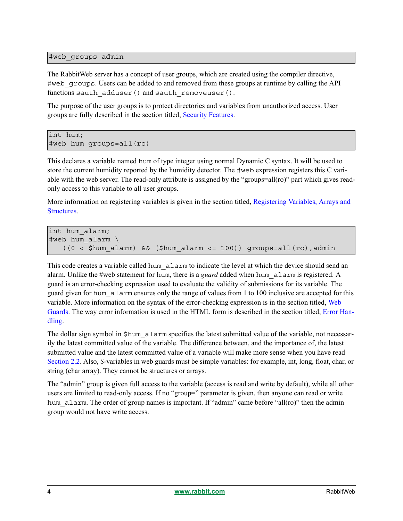#web\_groups admin

The RabbitWeb server has a concept of user groups, which are created using the compiler directive, #web\_groups. Users can be added to and removed from these groups at runtime by calling the API functions sauth adduser() and sauth removeuser().

The purpose of the user groups is to protect directories and variables from unauthorized access. User groups are fully described in the section titled, [Security Features](#page-15-0).

```
int hum;
#web hum groups=all(ro)
```
This declares a variable named hum of type integer using normal Dynamic C syntax. It will be used to store the current humidity reported by the humidity detector. The #web expression registers this C variable with the web server. The read-only attribute is assigned by the "groups=all(ro)" part which gives readonly access to this variable to all user groups.

More information on registering variables is given in the section titled, [Registering Variables, Arrays and](#page-10-1)  [Structures](#page-10-1).

```
int hum alarm;
#web hum_alarm \
   ((0 < 5hum alarm) && ($hum alarm <= 100)) groups=all(ro),admin
```
This code creates a variable called hum alarm to indicate the level at which the device should send an alarm. Unlike the #web statement for hum, there is a *guard* added when hum\_alarm is registered. A guard is an error-checking expression used to evaluate the validity of submissions for its variable. The guard given for hum\_alarm ensures only the range of values from 1 to 100 inclusive are accepted for this variable. More information on the syntax of the error-checking expression is in the section titled, [Web](#page-12-0)  [Guards.](#page-12-0) The way error information is used in the HTML form is described in the section titled, [Error Han](#page-25-0)[dling.](#page-25-0)

The dollar sign symbol in  $$hum$  alarm specifies the latest submitted value of the variable, not necessarily the latest committed value of the variable. The difference between, and the importance of, the latest submitted value and the latest committed value of a variable will make more sense when you have read [Section 2.2](#page-12-0). Also, \$-variables in web guards must be simple variables: for example, int, long, float, char, or string (char array). They cannot be structures or arrays.

The "admin" group is given full access to the variable (access is read and write by default), while all other users are limited to read-only access. If no "group=" parameter is given, then anyone can read or write hum alarm. The order of group names is important. If "admin" came before "all(ro)" then the admin group would not have write access.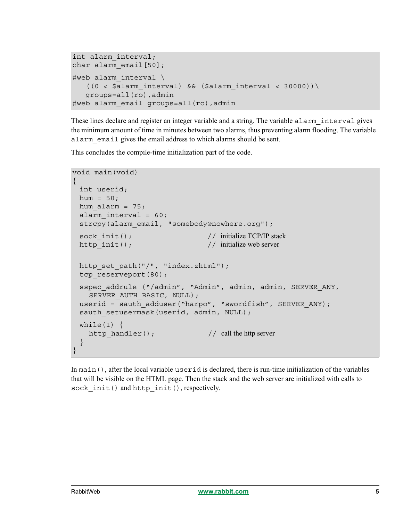```
int alarm_interval;
char alarm email[50];
#web alarm interval \
   ((0 < \n$alarm interval) \& (Salarm interval < 30000))\ groups=all(ro),admin
#web alarm_email groups=all(ro),admin
```
These lines declare and register an integer variable and a string. The variable alarm interval gives the minimum amount of time in minutes between two alarms, thus preventing alarm flooding. The variable alarm email gives the email address to which alarms should be sent.

This concludes the compile-time initialization part of the code.

```
void main(void)
{
 int userid;
 hum = 50;
hum alarm = 75;alarm interval = 60;strcpy(alarm email, "somebody@nowhere.org");
 sock init(); // initialize TCP/IP stack
 http_init(); // initialize web server
 http_set_path("/", "index.zhtml");
 tcp_reserveport(80);
 sspec addrule ("/admin", "Admin", admin, admin, SERVER ANY,
   SERVER AUTH BASIC, NULL);
 userid = sauth adduser("harpo", "swordfish", SERVER ANY);
 sauth setusermask(userid, admin, NULL);
 while(1) {
   http handler(); // call the http server
 }
}
```
In main(), after the local variable userid is declared, there is run-time initialization of the variables that will be visible on the HTML page. Then the stack and the web server are initialized with calls to sock init() and http init(), respectively.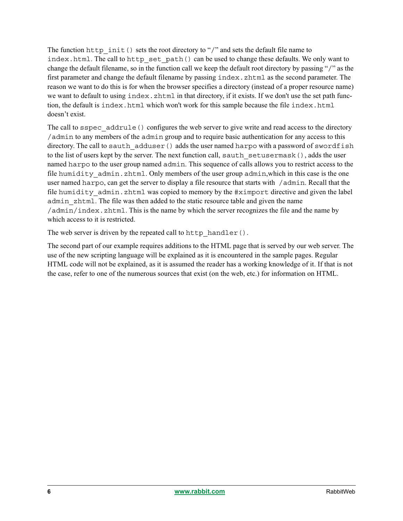The function http init() sets the root directory to "/" and sets the default file name to index.html. The call to http set path() can be used to change these defaults. We only want to change the default filename, so in the function call we keep the default root directory by passing "/" as the first parameter and change the default filename by passing index.zhtml as the second parameter. The reason we want to do this is for when the browser specifies a directory (instead of a proper resource name) we want to default to using  $index$ .zhtml in that directory, if it exists. If we don't use the set path function, the default is index.html which won't work for this sample because the file index.html doesn't exist.

The call to sspec addrule() configures the web server to give write and read access to the directory /admin to any members of the admin group and to require basic authentication for any access to this directory. The call to sauth  $adduser()$  adds the user named harpo with a password of swordfish to the list of users kept by the server. The next function call, sauth setusermask(), adds the user named harpo to the user group named admin. This sequence of calls allows you to restrict access to the file humidity admin.zhtml. Only members of the user group admin, which in this case is the one user named harpo, can get the server to display a file resource that starts with  $/$  admin. Recall that the file humidity admin.zhtml was copied to memory by the #ximport directive and given the label admin\_zhtml. The file was then added to the static resource table and given the name /admin/index.zhtml. This is the name by which the server recognizes the file and the name by which access to it is restricted.

The web server is driven by the repeated call to http handler().

The second part of our example requires additions to the HTML page that is served by our web server. The use of the new scripting language will be explained as it is encountered in the sample pages. Regular HTML code will not be explained, as it is assumed the reader has a working knowledge of it. If that is not the case, refer to one of the numerous sources that exist (on the web, etc.) for information on HTML.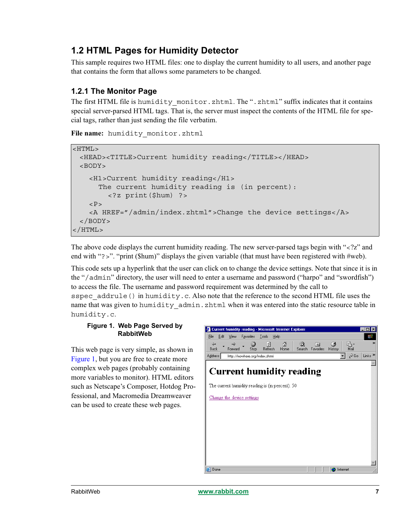## **1.2 HTML Pages for Humidity Detector**

This sample requires two HTML files: one to display the current humidity to all users, and another page that contains the form that allows some parameters to be changed.

### **1.2.1 The Monitor Page**

The first HTML file is humidity monitor.zhtml. The ".zhtml" suffix indicates that it contains special server-parsed HTML tags. That is, the server must inspect the contents of the HTML file for special tags, rather than just sending the file verbatim.

**File name:** humidity\_monitor.zhtml

```
<HTML>
 <HEAD><TITLE>Current humidity reading</TITLE></HEAD>
 <BODY><H1>Current humidity reading</H1>
     The current humidity reading is (in percent):
        <?z print($hum) ?>
   P<A HREF="/admin/index.zhtml">Change the device settings</A>
 </BODY>
</HTML>
```
The above code displays the current humidity reading. The new server-parsed tags begin with " $\langle$ ?z" and end with "?>". "print (\$hum)" displays the given variable (that must have been registered with #web).

This code sets up a hyperlink that the user can click on to change the device settings. Note that since it is in the "/admin" directory, the user will need to enter a username and password ("harpo" and "swordfish") to access the file. The username and password requirement was determined by the call to sspec  $addrule()$  in humidity.c. Also note that the reference to the second HTML file uses the name that was given to humidity admin.zhtml when it was entered into the static resource table in humidity.c.

### <span id="page-6-0"></span>**Figure 1. Web Page Served by RabbitWeb**

This web page is very simple, as shown in [Figure 1,](#page-6-0) but you are free to create more complex web pages (probably containing more variables to monitor). HTML editors such as Netscape's Composer, Hotdog Professional, and Macromedia Dreamweaver can be used to create these web pages.

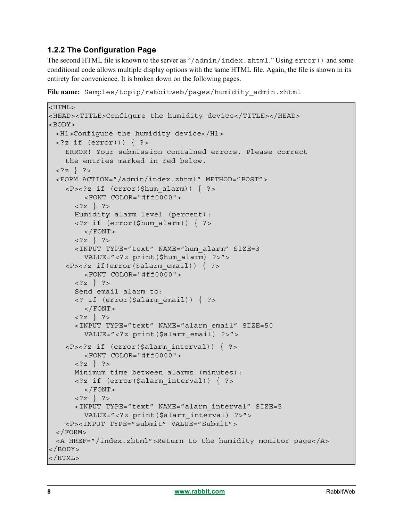### <span id="page-7-0"></span>**1.2.2 The Configuration Page**

The second HTML file is known to the server as "/admin/index.zhtml." Using error() and some conditional code allows multiple display options with the same HTML file. Again, the file is shown in its entirety for convenience. It is broken down on the following pages.

```
File name: Samples/tcpip/rabbitweb/pages/humidity_admin.zhtml
```

```
<HTML>
<HEAD><TITLE>Configure the humidity device</TITLE></HEAD>
<BODY>
 <H1>Configure the humidity device</H1>
 \langle?z if (error()) { ?>
    ERROR! Your submission contained errors. Please correct
    the entries marked in red below.
 \langle ?z \rangle ?>
 <FORM ACTION="/admin/index.zhtml" METHOD="POST">
    \langle P \rangle \langle ?z if (error($hum alarm)) { ?>
         <FONT COLOR="#ff0000">
      \langle ?z \rangle ?>
      Humidity alarm level (percent):
      <?z if (error($hum_alarm)) { ?>
         </FONT>
      \langle ?z \rangle ?>
      <INPUT TYPE="text" NAME="hum_alarm" SIZE=3 
         VALUE="<?z print($hum_alarm) ?>">
    \langle P \rangle \langle P \rangle if (error($alarm_email)) { ?>
         <FONT COLOR="#ff0000">
      \langle ?z \rangle ?>
      Send email alarm to:
      <? if (error($alarm_email)) { ?>
         </FONT>
      \{?z\} ?>
      <INPUT TYPE="text" NAME="alarm_email" SIZE=50
         VALUE="<?z print($alarm_email) ?>">
    <P><?z if (error($alarm_interval)) { ?>
         <FONT COLOR="#ff0000">
      \langle ?z \rangle ?>
      Minimum time between alarms (minutes):
      <?z if (error($alarm_interval)) { ?>
         </FONT>
      \langle ?z \rangle ?>
      <INPUT TYPE="text" NAME="alarm_interval" SIZE=5
         VALUE="<?z print($alarm_interval) ?>">
    <P><INPUT TYPE="submit" VALUE="Submit">
 </FORM><A HREF="/index.zhtml">Return to the humidity monitor page</A>
</BODY>
</HTML>
```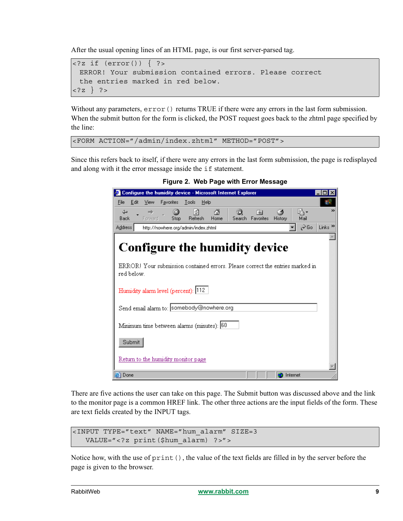After the usual opening lines of an HTML page, is our first server-parsed tag.

```
\langle?z if (error()) { ?>
 ERROR! Your submission contained errors. Please correct
 the entries marked in red below.
<?z } ?>
```
Without any parameters,  $error()$  returns TRUE if there were any errors in the last form submission. When the submit button for the form is clicked, the POST request goes back to the zhtml page specified by the line:

<FORM ACTION="/admin/index.zhtml" METHOD="POST">

Since this refers back to itself, if there were any errors in the last form submission, the page is redisplayed and along with it the error message inside the if statement.



**Figure 2. Web Page with Error Message**

There are five actions the user can take on this page. The Submit button was discussed above and the link to the monitor page is a common HREF link. The other three actions are the input fields of the form. These are text fields created by the INPUT tags.

```
<INPUT TYPE="text" NAME="hum_alarm" SIZE=3 
  VALUE="<?z print($hum_alarm) ?>">
```
Notice how, with the use of print(), the value of the text fields are filled in by the server before the page is given to the browser.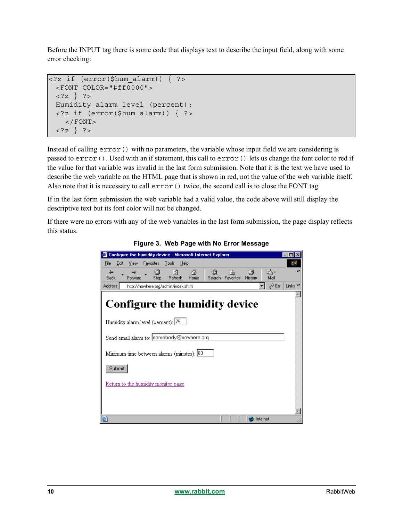Before the INPUT tag there is some code that displays text to describe the input field, along with some error checking:

```
<?z if (error($hum_alarm)) { ?>
 <FONT COLOR="#ff0000">
 \{?z\} ?>
 Humidity alarm level (percent):
 <?z if (error($hum_alarm)) { ?>
    </FONT>
 <?z } ?>
```
Instead of calling  $error()$  with no parameters, the variable whose input field we are considering is passed to error(). Used with an if statement, this call to error() lets us change the font color to red if the value for that variable was invalid in the last form submission. Note that it is the text we have used to describe the web variable on the HTML page that is shown in red, not the value of the web variable itself. Also note that it is necessary to call  $error()$  twice, the second call is to close the FONT tag.

If in the last form submission the web variable had a valid value, the code above will still display the descriptive text but its font color will not be changed.

If there were no errors with any of the web variables in the last form submission, the page display reflects this status.

| <sup>2</sup> Configure the humidity device - Microsoft Internet Explorer                                                                                                                                              |                           |
|-----------------------------------------------------------------------------------------------------------------------------------------------------------------------------------------------------------------------|---------------------------|
| Favorites<br>Edit<br>View<br>Tools<br>Help<br>File                                                                                                                                                                    |                           |
| B,<br>団<br>⋒<br>ದಿ<br>⇦<br>64<br>$\Rightarrow$<br>南<br>Refresh<br>Search Favorites<br>Home<br><b>Back</b><br>Forward<br>Mail<br>Stop<br>History                                                                       | ≫                         |
| ⊘Go<br>Address<br>http://nowhere.org/admin/index.zhtml                                                                                                                                                                | Links <sup>&gt;&gt;</sup> |
| <b>Configure the humidity device</b><br>Humidity alarm level (percent): 75<br>Send email alarm to: somebody@nowhere.org<br>Minimum time between alarms (minutes): 60<br>Submit<br>Return to the humidity monitor page |                           |
| 圏<br>Internet                                                                                                                                                                                                         |                           |

**Figure 3. Web Page with No Error Message**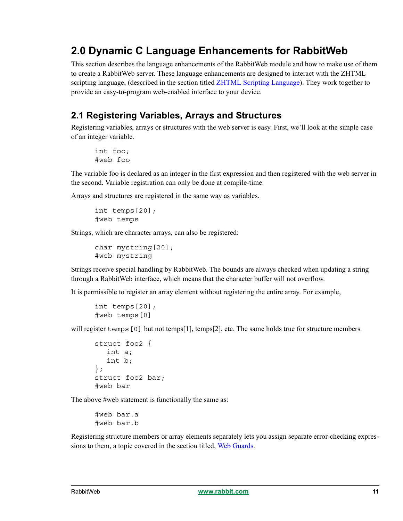## <span id="page-10-0"></span>**2.0 Dynamic C Language Enhancements for RabbitWeb**

This section describes the language enhancements of the RabbitWeb module and how to make use of them to create a RabbitWeb server. These language enhancements are designed to interact with the ZHTML scripting language, (described in the section titled [ZHTML Scripting Language\)](#page-19-0). They work together to provide an easy-to-program web-enabled interface to your device.

## <span id="page-10-1"></span>**2.1 Registering Variables, Arrays and Structures**

Registering variables, arrays or structures with the web server is easy. First, we'll look at the simple case of an integer variable.

```
int foo;
#web foo
```
The variable foo is declared as an integer in the first expression and then registered with the web server in the second. Variable registration can only be done at compile-time.

Arrays and structures are registered in the same way as variables.

```
int temps[20];
#web temps
```
Strings, which are character arrays, can also be registered:

```
char mystring[20];
#web mystring
```
Strings receive special handling by RabbitWeb. The bounds are always checked when updating a string through a RabbitWeb interface, which means that the character buffer will not overflow.

It is permissible to register an array element without registering the entire array. For example,

```
int temps[20];
#web temps[0]
```
will register temps [0] but not temps[1], temps[2], etc. The same holds true for structure members.

```
struct foo2 {
  int a;
  int b;
};
struct foo2 bar;
#web bar
```
The above #web statement is functionally the same as:

#web bar.a #web bar.b

Registering structure members or array elements separately lets you assign separate error-checking expres-sions to them, a topic covered in the section titled, [Web Guards.](#page-12-0)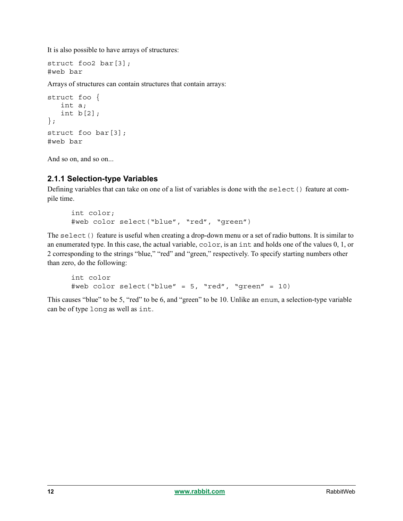It is also possible to have arrays of structures:

```
struct foo2 bar[3];
#web bar
```
Arrays of structures can contain structures that contain arrays:

```
struct foo {
    int a;
    int b[2];
};
struct foo bar[3];
#web bar
```
And so on, and so on...

### **2.1.1 Selection-type Variables**

Defining variables that can take on one of a list of variables is done with the select() feature at compile time.

```
int color;
#web color select("blue", "red", "green")
```
The select() feature is useful when creating a drop-down menu or a set of radio buttons. It is similar to an enumerated type. In this case, the actual variable, color, is an int and holds one of the values 0, 1, or 2 corresponding to the strings "blue," "red" and "green," respectively. To specify starting numbers other than zero, do the following:

```
int color
#web color select("blue" = 5, "red", "green" = 10)
```
This causes "blue" to be 5, "red" to be 6, and "green" to be 10. Unlike an enum, a selection-type variable can be of type long as well as int.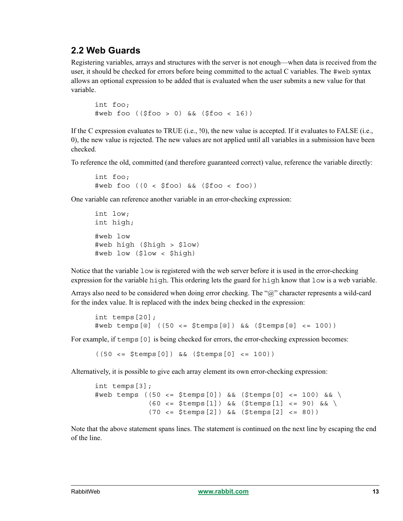### <span id="page-12-0"></span>**2.2 Web Guards**

Registering variables, arrays and structures with the server is not enough—when data is received from the user, it should be checked for errors before being committed to the actual C variables. The #web syntax allows an optional expression to be added that is evaluated when the user submits a new value for that variable.

```
int foo;
#web foo (($foo > 0) && ($foo < 16))
```
If the C expression evaluates to TRUE (i.e., !0), the new value is accepted. If it evaluates to FALSE (i.e., 0), the new value is rejected. The new values are not applied until all variables in a submission have been checked.

To reference the old, committed (and therefore guaranteed correct) value, reference the variable directly:

```
int foo;
#web foo ((0 < $foo) && ($foo < foo))
```
One variable can reference another variable in an error-checking expression:

```
int low;
int high;
#web low
#web high ($high > $low)
#web low ($low < $high)
```
Notice that the variable low is registered with the web server before it is used in the error-checking expression for the variable high. This ordering lets the guard for high know that low is a web variable.

Arrays also need to be considered when doing error checking. The "@" character represents a wild-card for the index value. It is replaced with the index being checked in the expression:

```
int temps[20];
#web temps[@] ((50 <= $temps[@]) && ($temps[@] <= 100))
```
For example, if temps [0] is being checked for errors, the error-checking expression becomes:

((50 <= \$temps[0]) && (\$temps[0] <= 100))

Alternatively, it is possible to give each array element its own error-checking expression:

```
int temps[3];
#web temps ((50 <= $temps[0]) && ($temps[0] <= 100) && \
            (60 \leq $temps[1]) && ($temps[1] \leq 90) && \
             (70 <= $temps[2]) && ($temps[2] <= 80))
```
Note that the above statement spans lines. The statement is continued on the next line by escaping the end of the line.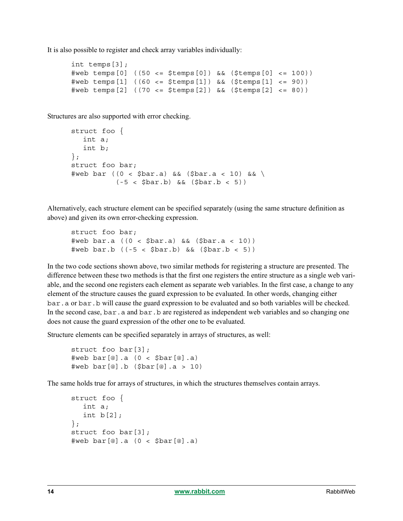It is also possible to register and check array variables individually:

```
int temps[3];
#web temps[0] ((50 <= $temps[0]) && ($temps[0] <= 100))
\#web temps[1] (60 \leq s \leq 5temps[1]) && (\text{Stemps}[1] \leq s \leq 90))#web temps[2] ((70 <= $temps[2]) && ($temps[2] <= 80))
```
Structures are also supported with error checking.

```
struct foo {
  int a;
  int b;
};
struct foo bar;
\#web bar ((0 < $bar.a) && ($bar.a < 10) && \
          (-5 < $bar.b) && ($bar.b < 5))
```
Alternatively, each structure element can be specified separately (using the same structure definition as above) and given its own error-checking expression.

```
struct foo bar;
#web bar.a ((0 < $bar.a) && ($bar.a < 10))
#web bar.b ((-5 < $bar.b) && ($bar.b < 5))
```
In the two code sections shown above, two similar methods for registering a structure are presented. The difference between these two methods is that the first one registers the entire structure as a single web variable, and the second one registers each element as separate web variables. In the first case, a change to any element of the structure causes the guard expression to be evaluated. In other words, changing either bar.a or bar.b will cause the guard expression to be evaluated and so both variables will be checked. In the second case, bar. a and bar. b are registered as independent web variables and so changing one does not cause the guard expression of the other one to be evaluated.

Structure elements can be specified separately in arrays of structures, as well:

```
struct foo bar[3];
#web bar[@].a (0 < $bar[@].a)
\#web bar[@].b ($bar[@].a > 10)
```
The same holds true for arrays of structures, in which the structures themselves contain arrays.

```
struct foo {
  int a;
  int b[2];
};
struct foo bar[3];
#web bar[@].a (0 < $bar[@].a)
```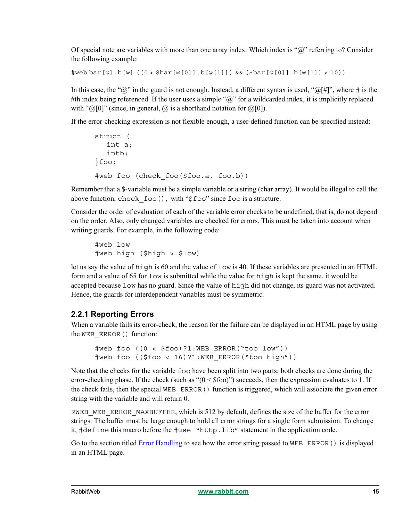Of special note are variables with more than one array index. Which index is "@" referring to? Consider the following example:

#web bar[@].b[@] ((0 < \$bar[@[0]].b[@[1]]) && (\$bar[@[0]].b[@[1]] < 10))

In this case, the " $@$ " in the guard is not enough. Instead, a different syntax is used, " $@[#]$ ", where # is the #th index being referenced. If the user uses a simple " $\omega$ " for a wildcarded index, it is implicitly replaced with " $\omega$ [0]" (since, in general,  $\omega$  is a shorthand notation for  $\omega$ [0]).

If the error-checking expression is not flexible enough, a user-defined function can be specified instead:

```
struct (
  int a;
  intb;
}foo;
#web foo (check_foo($foo.a, foo.b))
```
Remember that a \$-variable must be a simple variable or a string (char array). It would be illegal to call the above function, check foo(), with "\$foo" since foo is a structure.

Consider the order of evaluation of each of the variable error checks to be undefined, that is, do not depend on the order. Also, only changed variables are checked for errors. This must be taken into account when writing guards. For example, in the following code:

```
#web low
#web high ($high > $low)
```
let us say the value of high is 60 and the value of low is 40. If these variables are presented in an HTML form and a value of 65 for low is submitted while the value for high is kept the same, it would be accepted because low has no guard. Since the value of high did not change, its guard was not activated. Hence, the guards for interdependent variables must be symmetric.

### <span id="page-14-0"></span>**2.2.1 Reporting Errors**

When a variable fails its error-check, the reason for the failure can be displayed in an HTML page by using the WEB\_ERROR() function:

```
#web foo ((0 < $foo)?1:WEB_ERROR("too low"))
#web foo (($foo < 16)?1:WEB_ERROR("too high"))
```
Note that the checks for the variable foo have been split into two parts; both checks are done during the error-checking phase. If the check (such as " $(0 \le$  \$foo)") succeeds, then the expression evaluates to 1. If the check fails, then the special WEB\_ERROR() function is triggered, which will associate the given error string with the variable and will return 0.

RWEB WEB ERROR MAXBUFFER, which is 512 by default, defines the size of the buffer for the error strings. The buffer must be large enough to hold all error strings for a single form submission. To change it, #define this macro before the #use "http.lib" statement in the application code.

Go to the section titled [Error Handling](#page-25-0) to see how the error string passed to WEB\_ERROR() is displayed in an HTML page.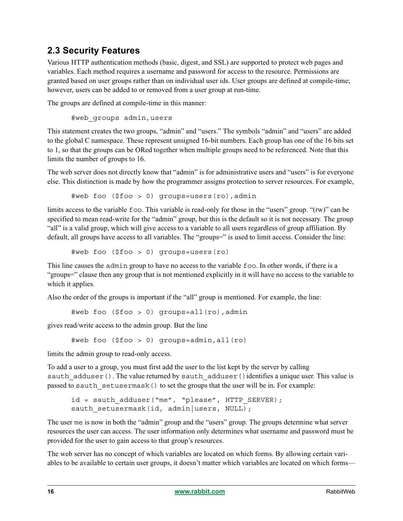### <span id="page-15-0"></span>**2.3 Security Features**

Various HTTP authentication methods (basic, digest, and SSL) are supported to protect web pages and variables. Each method requires a username and password for access to the resource. Permissions are granted based on user groups rather than on individual user ids. User groups are defined at compile-time; however, users can be added to or removed from a user group at run-time.

The groups are defined at compile-time in this manner:

```
#web_groups admin,users
```
This statement creates the two groups, "admin" and "users." The symbols "admin" and "users" are added to the global C namespace. These represent unsigned 16-bit numbers. Each group has one of the 16 bits set to 1, so that the groups can be ORed together when multiple groups need to be referenced. Note that this limits the number of groups to 16.

The web server does not directly know that "admin" is for administrative users and "users" is for everyone else. This distinction is made by how the programmer assigns protection to server resources. For example,

#web foo (\$foo > 0) groups=users(ro),admin

limits access to the variable foo. This variable is read-only for those in the "users" group. "(rw)" can be specified to mean read-write for the "admin" group, but this is the default so it is not necessary. The group "all" is a valid group, which will give access to a variable to all users regardless of group affiliation. By default, all groups have access to all variables. The "groups=" is used to limit access. Consider the line:

#web foo (\$foo > 0) groups=users(ro)

This line causes the admin group to have no access to the variable foo. In other words, if there is a "groups=" clause then any group that is not mentioned explicitly in it will have no access to the variable to which it applies.

Also the order of the groups is important if the "all" group is mentioned. For example, the line:

#web foo (\$foo > 0) groups=all(ro),admin

gives read/write access to the admin group. But the line

#web foo (\$foo > 0) groups=admin,all(ro)

limits the admin group to read-only access.

To add a user to a group, you must first add the user to the list kept by the server by calling sauth adduser(). The value returned by sauth adduser() identifies a unique user. This value is passed to sauth setusermask() to set the groups that the user will be in. For example:

 $id =$  sauth adduser("me", "please", HTTP SERVER); sauth setusermask(id, admin|users, NULL);

The user me is now in both the "admin" group and the "users" group. The groups determine what server resources the user can access. The user information only determines what username and password must be provided for the user to gain access to that group's resources.

The web server has no concept of which variables are located on which forms. By allowing certain variables to be available to certain user groups, it doesn't matter which variables are located on which forms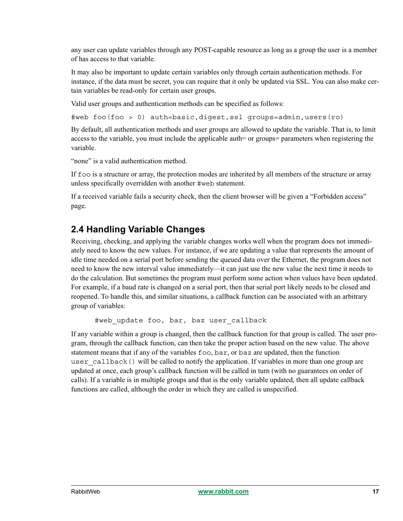any user can update variables through any POST-capable resource as long as a group the user is a member of has access to that variable.

It may also be important to update certain variables only through certain authentication methods. For instance, if the data must be secret, you can require that it only be updated via SSL. You can also make certain variables be read-only for certain user groups.

Valid user groups and authentication methods can be specified as follows:

#web foo(foo > 0) auth=basic,digest,ssl groups=admin,users(ro)

By default, all authentication methods and user groups are allowed to update the variable. That is, to limit access to the variable, you must include the applicable auth= or groups= parameters when registering the variable.

"none" is a valid authentication method.

If foo is a structure or array, the protection modes are inherited by all members of the structure or array unless specifically overridden with another #web statement.

If a received variable fails a security check, then the client browser will be given a "Forbidden access" page.

### <span id="page-16-0"></span>**2.4 Handling Variable Changes**

Receiving, checking, and applying the variable changes works well when the program does not immediately need to know the new values. For instance, if we are updating a value that represents the amount of idle time needed on a serial port before sending the queued data over the Ethernet, the program does not need to know the new interval value immediately—it can just use the new value the next time it needs to do the calculation. But sometimes the program must perform some action when values have been updated. For example, if a baud rate is changed on a serial port, then that serial port likely needs to be closed and reopened. To handle this, and similar situations, a callback function can be associated with an arbitrary group of variables:

#web update foo, bar, baz user callback

If any variable within a group is changed, then the callback function for that group is called. The user program, through the callback function, can then take the proper action based on the new value. The above statement means that if any of the variables foo, bar, or baz are updated, then the function user  $cal$  callback() will be called to notify the application. If variables in more than one group are updated at once, each group's callback function will be called in turn (with no guarantees on order of calls). If a variable is in multiple groups and that is the only variable updated, then all update callback functions are called, although the order in which they are called is unspecified.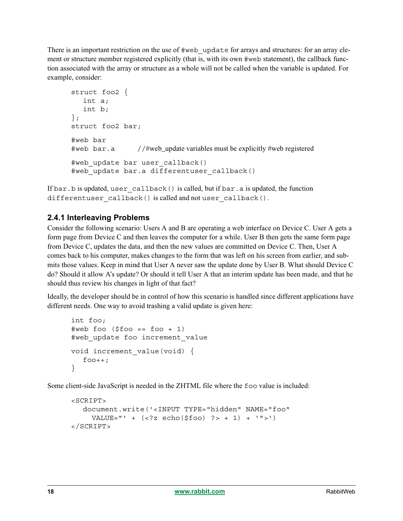There is an important restriction on the use of  $\#$ web update for arrays and structures: for an array element or structure member registered explicitly (that is, with its own #web statement), the callback function associated with the array or structure as a whole will not be called when the variable is updated. For example, consider:

```
struct foo2 {
   int a;
   int b;
};
struct foo2 bar;
#web bar
#web bar.a //#web_update variables must be explicitly #web registered
#web update bar user callback()
#web update bar.a differentuser callback()
```
If bar.b is updated, user callback() is called, but if bar.a is updated, the function differentuser callback() is called and not user callback().

### **2.4.1 Interleaving Problems**

Consider the following scenario: Users A and B are operating a web interface on Device C. User A gets a form page from Device C and then leaves the computer for a while. User B then gets the same form page from Device C, updates the data, and then the new values are committed on Device C. Then, User A comes back to his computer, makes changes to the form that was left on his screen from earlier, and submits those values. Keep in mind that User A never saw the update done by User B. What should Device C do? Should it allow A's update? Or should it tell User A that an interim update has been made, and that he should thus review his changes in light of that fact?

Ideally, the developer should be in control of how this scenario is handled since different applications have different needs. One way to avoid trashing a valid update is given here:

```
int foo;
\#web foo ($foo == foot + 1)#web update foo increment value
void increment_value(void) {
  foo++;}
```
Some client-side JavaScript is needed in the ZHTML file where the foo value is included:

```
<SCRIPT> 
  document.write('<INPUT TYPE="hidden" NAME="foo" 
    VALUE = " ' + (<2z echo($foo) ? > + 1) + '">')
</SCRIPT>
```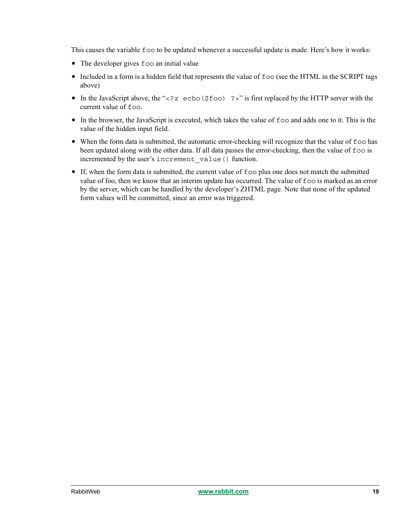This causes the variable foo to be updated whenever a successful update is made. Here's how it works:

- The developer gives foo an initial value
- Included in a form is a hidden field that represents the value of  $f \circ \circ$  (see the HTML in the SCRIPT tags above)
- In the JavaScript above, the "<?z echo(\$foo) ?>" is first replaced by the HTTP server with the current value of foo.
- In the browser, the JavaScript is executed, which takes the value of foo and adds one to it. This is the value of the hidden input field.
- When the form data is submitted, the automatic error-checking will recognize that the value of  $f$  oo has been updated along with the other data. If all data passes the error-checking, then the value of foo is incremented by the user's increment value() function.
- If, when the form data is submitted, the current value of foo plus one does not match the submitted value of foo, then we know that an interim update has occurred. The value of foo is marked as an error by the server, which can be handled by the developer's ZHTML page. Note that none of the updated form values will be committed, since an error was triggered.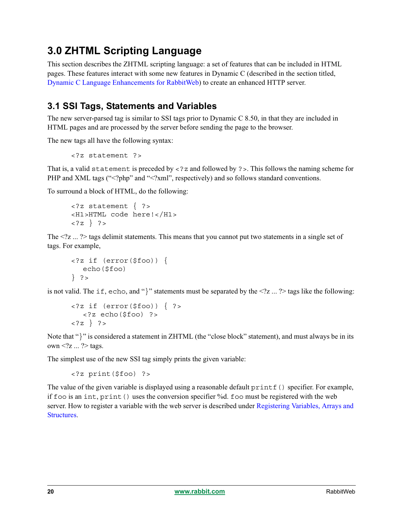## <span id="page-19-0"></span>**3.0 ZHTML Scripting Language**

This section describes the ZHTML scripting language: a set of features that can be included in HTML pages. These features interact with some new features in Dynamic C (described in the section titled, [Dynamic C Language Enhancements for RabbitWeb](#page-10-0)) to create an enhanced HTTP server.

### **3.1 SSI Tags, Statements and Variables**

The new server-parsed tag is similar to SSI tags prior to Dynamic C 8.50, in that they are included in HTML pages and are processed by the server before sending the page to the browser.

The new tags all have the following syntax:

```
<?z statement ?>
```
That is, a valid statement is preceded by  $\lt$  ? z and followed by ? >. This follows the naming scheme for PHP and XML tags ("<?php" and "<?xml", respectively) and so follows standard conventions.

To surround a block of HTML, do the following:

```
<?z statement { ?>
<H1>HTML code here!</H1>
<?z } ?>
```
The  $\langle 2z \rangle$   $\sim$  2 tags delimit statements. This means that you cannot put two statements in a single set of tags. For example,

```
<?z if (error($foo)) {
  echo($foo)
} ?>
```
is not valid. The if, echo, and "}" statements must be separated by the <?z ... ?> tags like the following:

```
\langle?z if (error($foo)) { ?>
  <?z echo($foo) ?>
<?z } ?>
```
Note that "}" is considered a statement in ZHTML (the "close block" statement), and must always be in its own  $\langle 2z \dots 2 \rangle$  tags.

The simplest use of the new SSI tag simply prints the given variable:

```
<?z print($foo) ?>
```
The value of the given variable is displayed using a reasonable default  $print f()$  specifier. For example, if foo is an int, print() uses the conversion specifier %d. foo must be registered with the web server. How to register a variable with the web server is described under [Registering Variables, Arrays and](#page-10-1)  [Structures](#page-10-1).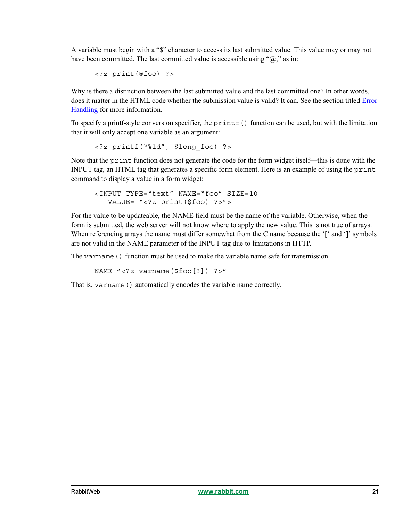A variable must begin with a "\$" character to access its last submitted value. This value may or may not have been committed. The last committed value is accessible using " $@$ ," as in:

<?z print(@foo) ?>

Why is there a distinction between the last submitted value and the last committed one? In other words, does it matter in the HTML code whether the submission value is valid? It can. See the section titled [Error](#page-25-0)  [Handling](#page-25-0) for more information.

To specify a printf-style conversion specifier, the  $print f()$  function can be used, but with the limitation that it will only accept one variable as an argument:

<?z printf("%ld", \$long\_foo) ?>

Note that the print function does not generate the code for the form widget itself—this is done with the INPUT tag, an HTML tag that generates a specific form element. Here is an example of using the print command to display a value in a form widget:

```
<INPUT TYPE="text" NAME="foo" SIZE=10 
  VALUE= "<?z print($foo) ?>">
```
For the value to be updateable, the NAME field must be the name of the variable. Otherwise, when the form is submitted, the web server will not know where to apply the new value. This is not true of arrays. When referencing arrays the name must differ somewhat from the C name because the '[' and ']' symbols are not valid in the NAME parameter of the INPUT tag due to limitations in HTTP.

The varname() function must be used to make the variable name safe for transmission.

```
NAME="<?z varname($foo[3]) ?>"
```
That is, varname() automatically encodes the variable name correctly.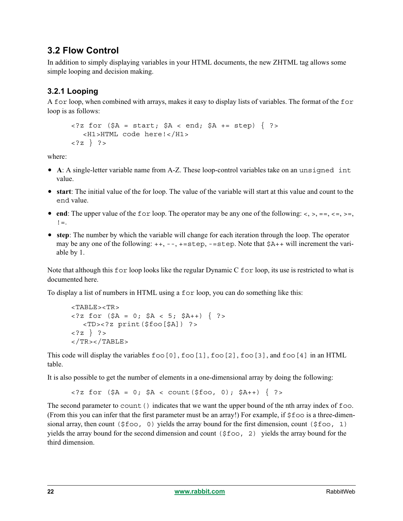### **3.2 Flow Control**

In addition to simply displaying variables in your HTML documents, the new ZHTML tag allows some simple looping and decision making.

### **3.2.1 Looping**

A for loop, when combined with arrays, makes it easy to display lists of variables. The format of the for loop is as follows:

```
\langle 2z for (\xi A = start; \xi A \le end; \xi A += step) \langle ? \rangle<H1>HTML code here!</H1>
<?z } ?>
```
where:

- **A**: A single-letter variable name from A-Z. These loop-control variables take on an unsigned int value.
- **start**: The initial value of the for loop. The value of the variable will start at this value and count to the end value.
- **end**: The upper value of the for loop. The operator may be any one of the following:  $\langle \, \rangle$ ,  $\, =$ ,  $\langle \, =$ ,  $\rangle$ ,  $\, =$ ,  $\,$  $! =$ .
- **step**: The number by which the variable will change for each iteration through the loop. The operator may be any one of the following:  $+, -, -, +=$ step,  $-$ =step. Note that  $$A++$  will increment the variable by 1.

Note that although this for loop looks like the regular Dynamic C for loop, its use is restricted to what is documented here.

To display a list of numbers in HTML using a for loop, you can do something like this:

```
<TABLE><TR>
\langle 2 for ($A = 0; $A < 5; $A++) { ? >
  <TD><?z print($foo[$A]) ?>
<?z } ?>
</TR></TABLE>
```
This code will display the variables  $f \circ \circ [0], f \circ \circ [1], f \circ \circ [2], f \circ \circ [3],$  and  $f \circ \circ [4]$  in an HTML table.

It is also possible to get the number of elements in a one-dimensional array by doing the following:

 $\langle 2z \text{ for } (\$A = 0; \$A < \text{count}(\$foo, 0); \$A++) \{ ? \rangle$ 

The second parameter to count () indicates that we want the upper bound of the nth array index of  $f$  =  $\sim$ (From this you can infer that the first parameter must be an array!) For example, if  $$foo$  is a three-dimensional array, then count ( $$f\circledcirc, 0)$  yields the array bound for the first dimension, count ( $$f\circledcirc, 1)$ ) yields the array bound for the second dimension and count  $(\xi \text{foo}, 2)$  yields the array bound for the third dimension.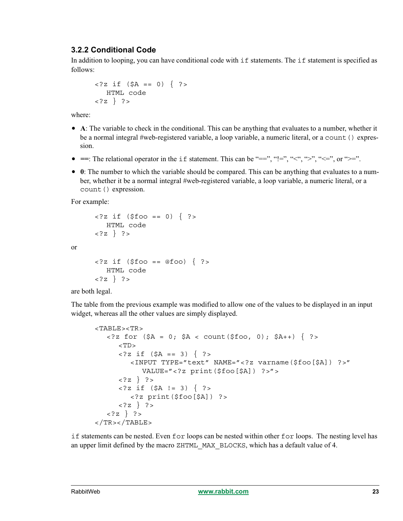### **3.2.2 Conditional Code**

In addition to looping, you can have conditional code with if statements. The if statement is specified as follows:

```
\langle 2z if (\Im A == 0) { ? >
   HTML code
<?z } ?>
```
where:

- **A**: The variable to check in the conditional. This can be anything that evaluates to a number, whether it be a normal integral #web-registered variable, a loop variable, a numeric literal, or a count() expression.
- $\bullet$  ==: The relational operator in the if statement. This can be "==", "!=", "<", ">", "<=", or ">=".
- **0**: The number to which the variable should be compared. This can be anything that evaluates to a number, whether it be a normal integral #web-registered variable, a loop variable, a numeric literal, or a count() expression.

For example:

or

```
\langle 2 if ($foo == 0) { ? >
            HTML code
\langle ?z \rangle ?>
\langle \cdot \rangle \le \frac{1}{2} \int \langle \cdot \rangle \le \frac{1}{2} \int \langle \cdot \rangle \le \frac{1}{2} \int \int \frac{1}{2} \int \frac{1}{2} \int \frac{1}{2} \int \frac{1}{2} \int \frac{1}{2} \int \frac{1}{2} \int \frac{1}{2} \int \frac{1}{
```

```
HTML code
<?z } ?>
```
are both legal.

The table from the previous example was modified to allow one of the values to be displayed in an input widget, whereas all the other values are simply displayed.

```
<TABLE><TR>\langle 2z \text{ for } (\xi A = 0; \xi A < \text{count}(\xi \text{foo}, 0); \xi A++) \rangle ?>
      <TD>\langle 2z if (\zetaA == 3) { ? >
          <INPUT TYPE="text" NAME="<?z varname($foo[$A]) ?>"
             VALUE="<?z print($foo[$A]) ?>">
      <?z } ?>
      <?z if ($A != 3) { ?>
          <?z print($foo[$A]) ?>
      <?z } ?>
   <?z } ?>
</TR></TABLE>
```
if statements can be nested. Even for loops can be nested within other for loops. The nesting level has an upper limit defined by the macro ZHTML\_MAX\_BLOCKS, which has a default value of 4.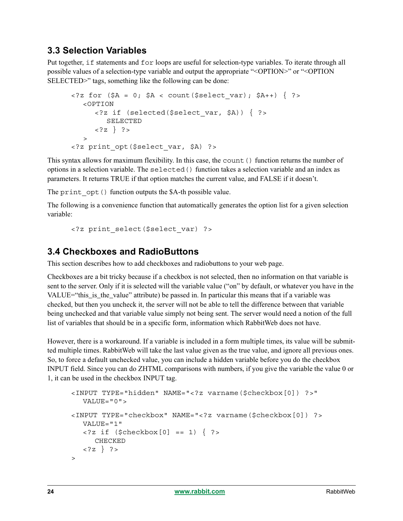### **3.3 Selection Variables**

Put together, if statements and for loops are useful for selection-type variables. To iterate through all possible values of a selection-type variable and output the appropriate "<OPTION>" or "<OPTION SELECTED>" tags, something like the following can be done:

```
\langle 2z \text{ for } (\$A = 0; \$A < \text{count}(\$select var); \$A++) \{ ?\}\rangle<OPTION
       <?z if (selected($select_var, $A)) { ?>
          SELECTED
      <?z } ?>
   \rightarrow<?z print_opt($select_var, $A) ?>
```
This syntax allows for maximum flexibility. In this case, the count() function returns the number of options in a selection variable. The selected() function takes a selection variable and an index as parameters. It returns TRUE if that option matches the current value, and FALSE if it doesn't.

The print opt () function outputs the \$A-th possible value.

The following is a convenience function that automatically generates the option list for a given selection variable:

```
<?z print_select($select_var) ?>
```
### **3.4 Checkboxes and RadioButtons**

This section describes how to add checkboxes and radiobuttons to your web page.

Checkboxes are a bit tricky because if a checkbox is not selected, then no information on that variable is sent to the server. Only if it is selected will the variable value ("on" by default, or whatever you have in the VALUE="this is the value" attribute) be passed in. In particular this means that if a variable was checked, but then you uncheck it, the server will not be able to tell the difference between that variable being unchecked and that variable value simply not being sent. The server would need a notion of the full list of variables that should be in a specific form, information which RabbitWeb does not have.

However, there is a workaround. If a variable is included in a form multiple times, its value will be submitted multiple times. RabbitWeb will take the last value given as the true value, and ignore all previous ones. So, to force a default unchecked value, you can include a hidden variable before you do the checkbox INPUT field. Since you can do ZHTML comparisons with numbers, if you give the variable the value 0 or 1, it can be used in the checkbox INPUT tag.

```
<INPUT TYPE="hidden" NAME="<?z varname($checkbox[0]) ?>"
  VALUE="0">
<INPUT TYPE="checkbox" NAME="<?z varname($checkbox[0]) ?>
  VALUE="1"
  \langle?z if ($checkbox[0] == 1) { ?>
     CHECKED
  <?z } ?>
\rightarrow
```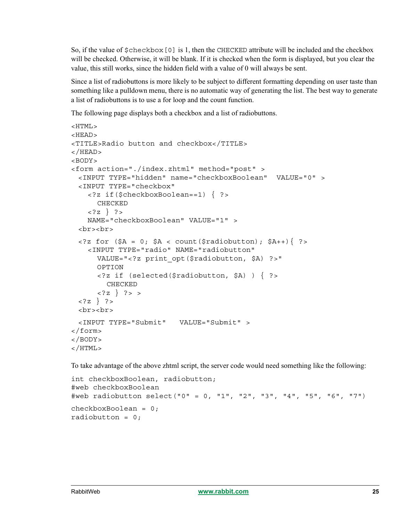So, if the value of \$checkbox[0] is 1, then the CHECKED attribute will be included and the checkbox will be checked. Otherwise, it will be blank. If it is checked when the form is displayed, but you clear the value, this still works, since the hidden field with a value of 0 will always be sent.

Since a list of radiobuttons is more likely to be subject to different formatting depending on user taste than something like a pulldown menu, there is no automatic way of generating the list. The best way to generate a list of radiobuttons is to use a for loop and the count function.

The following page displays both a checkbox and a list of radiobuttons.

```
<HTML>
<HEAD>
<TITLE>Radio button and checkbox</TITLE>
</HEAD>
<BODY><form action="./index.zhtml" method="post" >
  <INPUT TYPE="hidden" name="checkboxBoolean" VALUE="0" >
  <INPUT TYPE="checkbox"
     <?z if($checkboxBoolean==1) { ?>
         CHECKED 
     \langle ?z \rangle ?>
     NAME="checkboxBoolean" VALUE="1" >
  <br><br>
  \langle = \langle \rangle \langle \rangle \langle \rangle \langle \rangle \langle \rangle \langle \rangle \langle \rangle \langle \rangle \langle \rangle \langle \rangle \langle \rangle \langle \rangle \langle \rangle \langle \rangle \langle \rangle \langle \rangle \langle \rangle \langle \rangle \langle \rangle \langle \rangle \langle \rangle \langle<INPUT TYPE="radio" NAME="radiobutton" 
         VALUE="<?z print_opt($radiobutton, $A) ?>"
         OPTION
         <?z if (selected($radiobutton, $A) ) { ?>
            CHECKED
         \langle ?z \rangle ?> >
  \{?z\} ?>
  <br><br>
  <INPUT TYPE="Submit" VALUE="Submit" >
</form>
</BODY>
</HTML>
```
To take advantage of the above zhtml script, the server code would need something like the following:

```
int checkboxBoolean, radiobutton;
#web checkboxBoolean
#web radiobutton select("0" = 0, "1", "2", "3", "4", "5", "6", "7")
checkboxBoolean = 0;
radiobutton = 0;
```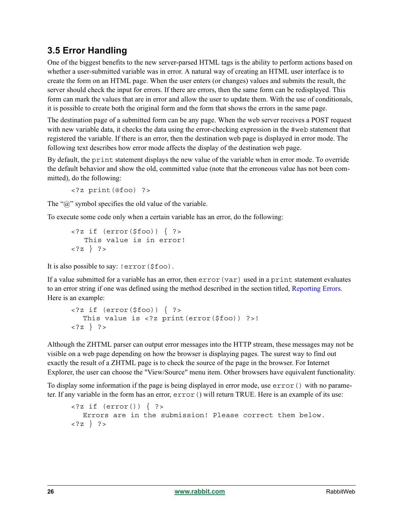## <span id="page-25-0"></span>**3.5 Error Handling**

One of the biggest benefits to the new server-parsed HTML tags is the ability to perform actions based on whether a user-submitted variable was in error. A natural way of creating an HTML user interface is to create the form on an HTML page. When the user enters (or changes) values and submits the result, the server should check the input for errors. If there are errors, then the same form can be redisplayed. This form can mark the values that are in error and allow the user to update them. With the use of conditionals, it is possible to create both the original form and the form that shows the errors in the same page.

The destination page of a submitted form can be any page. When the web server receives a POST request with new variable data, it checks the data using the error-checking expression in the #web statement that registered the variable. If there is an error, then the destination web page is displayed in error mode. The following text describes how error mode affects the display of the destination web page.

By default, the print statement displays the new value of the variable when in error mode. To override the default behavior and show the old, committed value (note that the erroneous value has not been committed), do the following:

<?z print(@foo) ?>

The " $\hat{\omega}$ " symbol specifies the old value of the variable.

To execute some code only when a certain variable has an error, do the following:

```
<?z if (error($foo)) { ?>
    This value is in error!
\{?z \} ?>
```
It is also possible to say: !error(\$foo).

If a value submitted for a variable has an error, then error(var) used in a print statement evaluates to an error string if one was defined using the method described in the section titled, [Reporting Errors.](#page-14-0) Here is an example:

```
\langle?z if (error($foo)) { ?>
  This value is <?z print(error($foo)) ?>!
<?z } ?>
```
Although the ZHTML parser can output error messages into the HTTP stream, these messages may not be visible on a web page depending on how the browser is displaying pages. The surest way to find out exactly the result of a ZHTML page is to check the source of the page in the browser. For Internet Explorer, the user can choose the "View/Source" menu item. Other browsers have equivalent functionality.

To display some information if the page is being displayed in error mode, use  $error()$  with no parameter. If any variable in the form has an error, error() will return TRUE. Here is an example of its use:

```
\langle?z if (error()) { ?>
  Errors are in the submission! Please correct them below.
<?z } ?>
```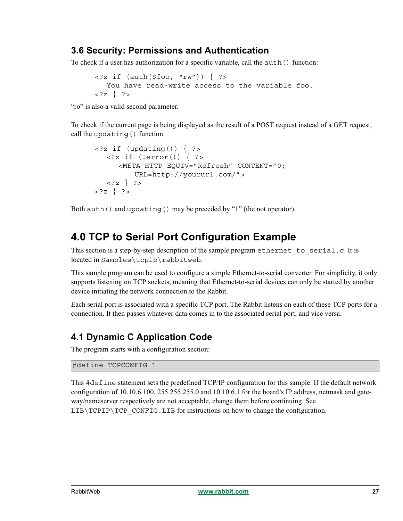### **3.6 Security: Permissions and Authentication**

To check if a user has authorization for a specific variable, call the auth() function:

```
\langle?z if (auth($foo, "rw")) { ?>
  You have read-write access to the variable foo.
<?z } ?>
```
"ro" is also a valid second parameter.

To check if the current page is being displayed as the result of a POST request instead of a GET request, call the updating() function.

```
\langle 2 if (updating()) { ? >
  <?z if (!error()) { ?>
     <META HTTP-EQUIV="Refresh" CONTENT="0;
          URL=http://yoururl.com/">
  <?z } ?>
<?z } ?>
```
Both auth() and updating() may be preceded by "1" (the not operator).

## <span id="page-26-0"></span>**4.0 TCP to Serial Port Configuration Example**

This section is a step-by-step description of the sample program ethernet to serial.c. It is located in Samples\tcpip\rabbitweb.

This sample program can be used to configure a simple Ethernet-to-serial converter. For simplicity, it only supports listening on TCP sockets, meaning that Ethernet-to-serial devices can only be started by another device initiating the network connection to the Rabbit.

Each serial port is associated with a specific TCP port. The Rabbit listens on each of these TCP ports for a connection. It then passes whatever data comes in to the associated serial port, and vice versa.

### **4.1 Dynamic C Application Code**

The program starts with a configuration section:

### #define TCPCONFIG 1

This #define statement sets the predefined TCP/IP configuration for this sample. If the default network configuration of 10.10.6.100, 255.255.255.0 and 10.10.6.1 for the board's IP address, netmask and gateway/nameserver respectively are not acceptable, change them before continuing. See  $LIB\TCFIP\TCP$  CONFIG. LIB for instructions on how to change the configuration.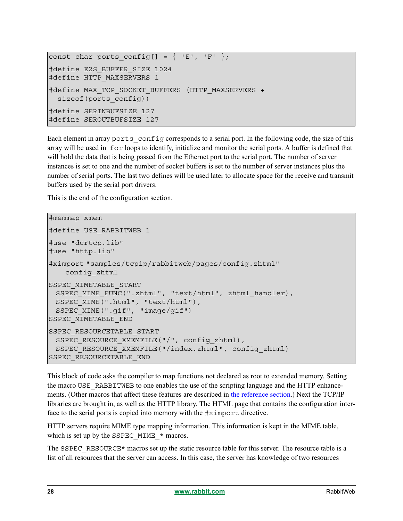```
const char ports config[] = { | 'E', 'F' | };#define E2S_BUFFER_SIZE 1024
#define HTTP MAXSERVERS 1
#define MAX_TCP_SOCKET_BUFFERS (HTTP_MAXSERVERS +
  sizeof(ports_config))
#define SERINBUFSIZE 127
#define SEROUTBUFSIZE 127
```
Each element in array ports config corresponds to a serial port. In the following code, the size of this array will be used in for loops to identify, initialize and monitor the serial ports. A buffer is defined that will hold the data that is being passed from the Ethernet port to the serial port. The number of server instances is set to one and the number of socket buffers is set to the number of server instances plus the number of serial ports. The last two defines will be used later to allocate space for the receive and transmit buffers used by the serial port drivers.

This is the end of the configuration section.

```
#memmap xmem
#define USE RABBITWEB 1
#use "dcrtcp.lib"
#use "http.lib"
#ximport "samples/tcpip/rabbitweb/pages/config.zhtml"
   config_zhtml
SSPEC_MIMETABLE_START
 SSPEC MIME FUNC(".zhtml", "text/html", zhtml handler),
 SSPEC MIME(".html", "text/html"),
 SSPEC_MIME(".gif", "image/gif")
SSPEC_MIMETABLE_END
SSPEC_RESOURCETABLE_START
 SSPEC_RESOURCE_XMEMFILE("/", config_zhtml),
 SSPEC_RESOURCE_XMEMFILE("/index.zhtml", config_zhtml)
SSPEC_RESOURCETABLE_END
```
This block of code asks the compiler to map functions not declared as root to extended memory. Setting the macro USE\_RABBITWEB to one enables the use of the scripting language and the HTTP enhancements. (Other macros that affect these features are described in [the reference section](#page-39-0).) Next the TCP/IP libraries are brought in, as well as the HTTP library. The HTML page that contains the configuration interface to the serial ports is copied into memory with the #ximport directive.

HTTP servers require MIME type mapping information. This information is kept in the MIME table, which is set up by the SSPEC MIME  $*$  macros.

The SSPEC\_RESOURCE\* macros set up the static resource table for this server. The resource table is a list of all resources that the server can access. In this case, the server has knowledge of two resources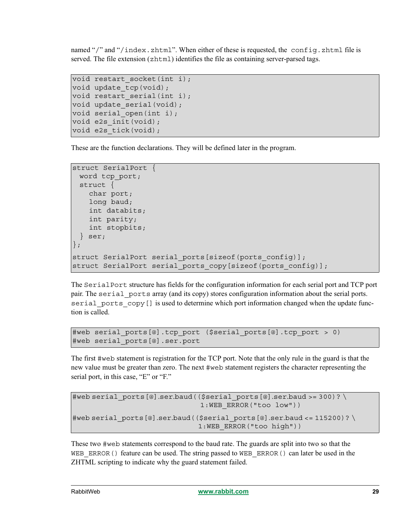named "/" and "/index.zhtml". When either of these is requested, the config.zhtml file is served. The file extension (zhtml) identifies the file as containing server-parsed tags.

```
void restart socket(int i);
void update tcp(void);
void restart serial(int i);
void update serial(void);
void serial open(int i);
void e2s_init(void);
void e2s tick(void);
```
These are the function declarations. They will be defined later in the program.

```
struct SerialPort {
 word tcp_port;
 struct {
   char port;
   long baud;
   int databits;
   int parity;
   int stopbits;
 } ser;
};
struct SerialPort serial ports[sizeof(ports config)];
struct SerialPort serial ports copy[sizeof(ports config)];
```
The Serial Port structure has fields for the configuration information for each serial port and TCP port pair. The serial ports array (and its copy) stores configuration information about the serial ports. serial ports copy [] is used to determine which port information changed when the update function is called.

```
#web serial_ports[@].tcp_port ($serial_ports[@].tcp_port > 0)
#web serial_ports[@].ser.port
```
The first #web statement is registration for the TCP port. Note that the only rule in the guard is that the new value must be greater than zero. The next #web statement registers the character representing the serial port, in this case, "E" or "F."

```
#web serial ports[@].ser.baud(($serial ports[@].ser.baud >= 300)? \
                               1:WEB_ERROR("too low"))
#web serial ports[@].ser.baud(($serial ports[@].ser.baud <= 115200)? \
                              1:WEB_ERROR("too high"))
```
These two #web statements correspond to the baud rate. The guards are split into two so that the WEB\_ERROR() feature can be used. The string passed to WEB\_ERROR() can later be used in the ZHTML scripting to indicate why the guard statement failed.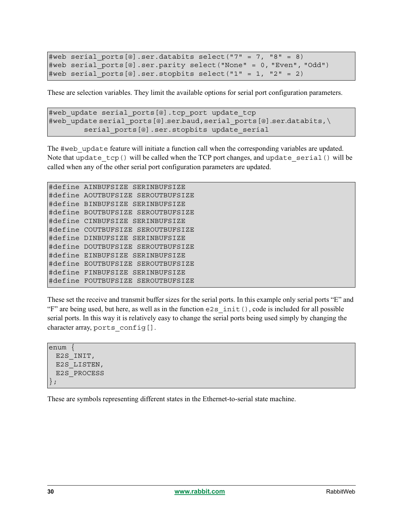```
#web serial ports[@].ser.databits select("7" = 7, "8" = 8)
#web serial_ports[@].ser.parity select("None" = 0, "Even", "Odd")
#web serial ports[@].ser.stopbits select("1" = 1, "2" = 2)
```
These are selection variables. They limit the available options for serial port configuration parameters.

```
#web update serial ports[@].tcp port update tcp
#web update serial ports[@].ser.baud,serial ports[@].ser.databits,\
        serial ports[@].ser.stopbits update serial
```
The #web update feature will initiate a function call when the corresponding variables are updated. Note that update  $tcp()$  will be called when the TCP port changes, and update serial() will be called when any of the other serial port configuration parameters are updated.

```
#define AINBUFSIZE SERINBUFSIZE
#define AOUTBUFSIZE SEROUTBUFSIZE
#define BINBUFSIZE SERINBUFSIZE
#define BOUTBUFSIZE SEROUTBUFSIZE
#define CINBUFSIZE SERINBUFSIZE
#define COUTBUFSIZE SEROUTBUFSIZE
#define DINBUFSIZE SERINBUFSIZE
#define DOUTBUFSIZE SEROUTBUFSIZE
#define EINBUFSIZE SERINBUFSIZE
#define EOUTBUFSIZE SEROUTBUFSIZE
#define FINBUFSIZE SERINBUFSIZE
#define FOUTBUFSIZE SEROUTBUFSIZE
```
These set the receive and transmit buffer sizes for the serial ports. In this example only serial ports "E" and "F" are being used, but here, as well as in the function e2s\_init(), code is included for all possible serial ports. In this way it is relatively easy to change the serial ports being used simply by changing the character array, ports config[].

enum { E2S\_INIT, E2S\_LISTEN, E2S\_PROCESS };

These are symbols representing different states in the Ethernet-to-serial state machine.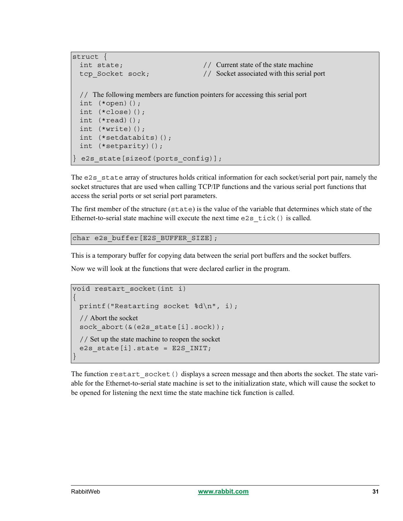```
struct {
 int state; \frac{1}{2} Current state of the state machine
 tcp_Socket sock; // Socket associated with this serial port
 // The following members are function pointers for accessing this serial port
 int (*open)();
 int (*close)();
 int (*read)();
 int (*write)();
 int (*setdatabits)();
 int (*setparity)();
 e2s state[sizeof(ports config)];
```
The  $e2s$  state array of structures holds critical information for each socket/serial port pair, namely the socket structures that are used when calling TCP/IP functions and the various serial port functions that access the serial ports or set serial port parameters.

The first member of the structure (state) is the value of the variable that determines which state of the Ethernet-to-serial state machine will execute the next time e2s tick() is called.

```
char e2s buffer[E2S BUFFER SIZE];
```
This is a temporary buffer for copying data between the serial port buffers and the socket buffers.

Now we will look at the functions that were declared earlier in the program.

```
void restart_socket(int i)
{
 printf("Restarting socket %d\n", i);
 // Abort the socket
 sock abort(&(e2s state[i].sock));
 // Set up the state machine to reopen the socket
 e2s state[i].state = E2S INIT;
}
```
The function restart socket() displays a screen message and then aborts the socket. The state variable for the Ethernet-to-serial state machine is set to the initialization state, which will cause the socket to be opened for listening the next time the state machine tick function is called.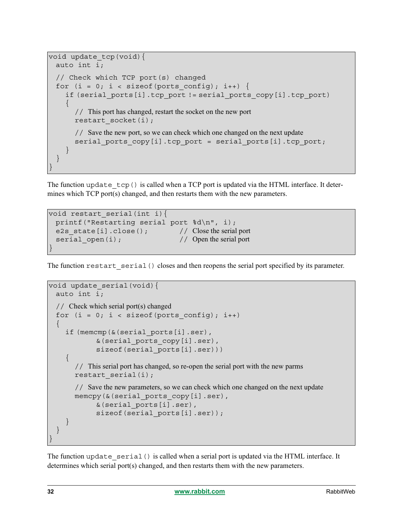```
void update tcp(void) {
 auto int i;
 // Check which TCP port(s) changed
 for (i = 0; i < sizeof(ports config); i++) {
    if (serial_ports[i].tcp_port != serial_ports_copy[i].tcp_port)
    {
      // This port has changed, restart the socket on the new port
      restart socket(i);
      // Save the new port, so we can check which one changed on the next update
      serial ports copy[i].tcp port = serial ports[i].tcp port;
    }
  }
}
```
The function update  $\text{top}(x)$  is called when a TCP port is updated via the HTML interface. It determines which  $TCP port(s) changed, and then restarts them with the new parameters.$ 

```
void restart serial(int i){
 printf("Restarting serial port %d\n", i);
 e2s_state[i].close(); // Close the serial port
 serial open(i); // Open the serial port
}
```
The function restart serial() closes and then reopens the serial port specified by its parameter.

```
void update_serial(void){
 auto int i;
 // Check which serial port(s) changed
 for (i = 0; i < sizeof(ports config); i++)
 \{if (memcmp(&(serial ports[i].ser),
            &(serial_ports_copy[i].ser),
            sizeof(serial ports[i].ser)))
    \{// This serial port has changed, so re-open the serial port with the new parms
       restart serial(i);
       // Save the new parameters, so we can check which one changed on the next update
       memcpy(&(serial ports copy[i].ser),
            &(serial_ports[i].ser),
            sizeof(serial ports[i].ser));
    }
  }
}
```
The function update serial() is called when a serial port is updated via the HTML interface. It determines which serial port(s) changed, and then restarts them with the new parameters.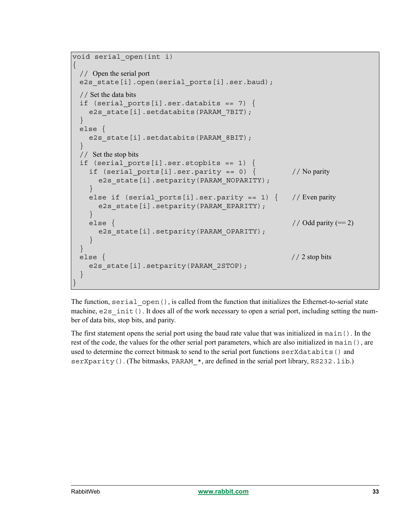```
void serial_open(int i)
{
 // Open the serial port
 e2s state[i].open(serial ports[i].ser.baud);
 // Set the data bits
 if (serial ports[i].ser.databits == 7) {
   e2s state[i].setdatabits(PARAM_7BIT);
 }
 else {
   e2s_state[i].setdatabits(PARAM_8BIT);
 }
 // Set the stop bits
 if (serial ports[i].ser.stopbits == 1) {
   if (serial ports[i].ser.parity == 0) { // No parity
     e2s state[i].setparity(PARAM_NOPARITY);
   }
   else if (serial ports[i].ser.parity == 1) { // Even parity
     e2s state[i].setparity(PARAM EPARITY);
   }
   else \{ // Odd parity (== 2)
     e2s state[i].setparity(PARAM_OPARITY);
   }
 }
 else { // 2 stop bits
   e2s state[i].setparity(PARAM_2STOP);
 }
}
```
The function, serial open(), is called from the function that initializes the Ethernet-to-serial state machine,  $e2s$  init(). It does all of the work necessary to open a serial port, including setting the number of data bits, stop bits, and parity.

The first statement opens the serial port using the baud rate value that was initialized in main(). In the rest of the code, the values for the other serial port parameters, which are also initialized in main(), are used to determine the correct bitmask to send to the serial port functions serXdatabits() and serXparity(). (The bitmasks, PARAM  $*$ , are defined in the serial port library, RS232.lib.)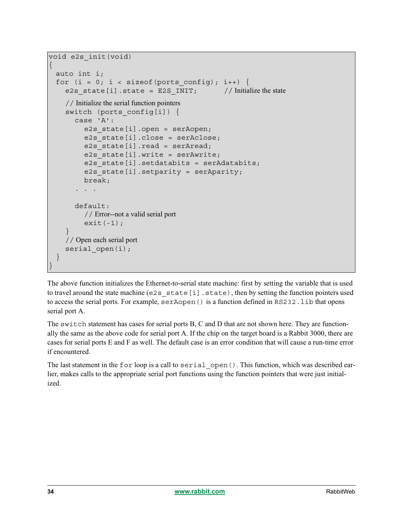```
void e2s_init(void)
{
 auto int i;
 for (i = 0; i < sizeof(ports config); i++) {
    e2s state[i].state = E2S INIT; // Initialize the state
    // Initialize the serial function pointers
    switch (ports config[i]) {
      case 'A':
         e2s state[i].open = serAopen;
         e2s state[i].close = serAclose;
         e2s state[i].read = serAread;
         e2s state[i].write = serAwrite;
         e2s state[i].setdatabits = serAdatabits;
         e2s state[i].setparity = serAparity;
        break;
       . . .
      default:
         // Error--not a valid serial port
         exit(-1);}
    // Open each serial port
    serial open(i);
  }
}
```
The above function initializes the Ethernet-to-serial state machine: first by setting the variable that is used to travel around the state machine (e2s state[i].state), then by setting the function pointers used to access the serial ports. For example, serAopen() is a function defined in RS232.lib that opens serial port A.

The switch statement has cases for serial ports B, C and D that are not shown here. They are functionally the same as the above code for serial port A. If the chip on the target board is a Rabbit 3000, there are cases for serial ports E and F as well. The default case is an error condition that will cause a run-time error if encountered.

The last statement in the for loop is a call to serial open (). This function, which was described earlier, makes calls to the appropriate serial port functions using the function pointers that were just initialized.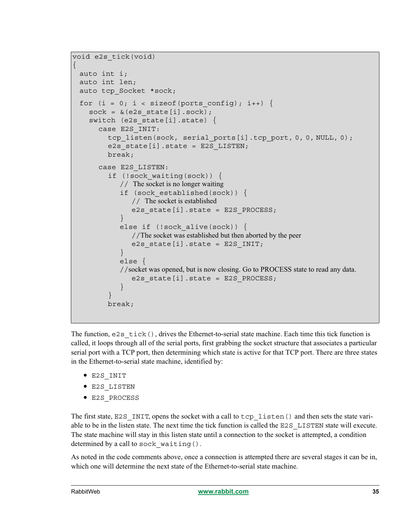```
void e2s_tick(void)
{
 auto int i;
 auto int len;
 auto tcp_Socket *sock;
 for (i = 0; i < sizeof(ports config); i++) {
    sock = &(e2s state[i].sock);switch (e2s state[i].state) {
      case E2S_INIT:
         tcp_listen(sock, serial_ports[i].tcp_port, 0, 0, NULL, 0);
         e2s state[i].state = E2S LISTEN;
        break;
      case E2S_LISTEN:
         if (!sock_waiting(sock)) {
            // The socket is no longer waiting
            if (sock_established(sock)) {
               // The socket is established
               e2s state[i].state = E2S PROCESS;
            }
            else if (!sock alive(sock)) {
               //The socket was established but then aborted by the peer
               e2s state[i].state = E2S INIT;
            }
            else {
            //socket was opened, but is now closing. Go to PROCESS state to read any data. 
               e2s state[i].state = E2S PROCESS;
            }
         }
        break;
```
The function,  $e2s$  tick(), drives the Ethernet-to-serial state machine. Each time this tick function is called, it loops through all of the serial ports, first grabbing the socket structure that associates a particular serial port with a TCP port, then determining which state is active for that TCP port. There are three states in the Ethernet-to-serial state machine, identified by:

- **•** E2S\_INIT
- **•** E2S\_LISTEN
- **•** E2S\_PROCESS

The first state, E2S INIT, opens the socket with a call to tcp listen() and then sets the state variable to be in the listen state. The next time the tick function is called the E2S\_LISTEN state will execute. The state machine will stay in this listen state until a connection to the socket is attempted, a condition determined by a call to sock waiting().

As noted in the code comments above, once a connection is attempted there are several stages it can be in, which one will determine the next state of the Ethernet-to-serial state machine.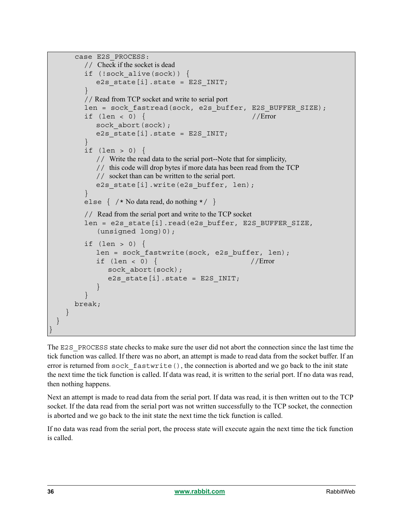```
case E2S_PROCESS:
         // Check if the socket is dead
        if (!sock_alive(sock)) {
           e2s state[i].state = E2S INIT;
         }
         // Read from TCP socket and write to serial port
        len = sock fastread(sock, e2s buffer, E2S BUFFER SIZE);
        if (len < 0) { // Errorsock abort(sock);
            e2s state[i].state = E2S INIT;
         }
        if (len > 0) {
            // Write the read data to the serial port--Note that for simplicity,
            // this code will drop bytes if more data has been read from the TCP
            // socket than can be written to the serial port.
           e2s state[i].write(e2s buffer, len);
         }
        else { /* No data read, do nothing */ }
        // Read from the serial port and write to the TCP socket
        len = e2s state[i].read(e2s buffer, E2S BUFFER SIZE,
            (unsigned long)0);
        if (len > 0) {
            len = sock fastwrite(sock, e2s buffer, len);
            if (len < 0) { // Errorsock abort(sock);
               e2s state[i].state = E2S INIT;
            }
         }
      break;
    }
 }
}
```
The E2S PROCESS state checks to make sure the user did not abort the connection since the last time the tick function was called. If there was no abort, an attempt is made to read data from the socket buffer. If an error is returned from  $\text{sock}$  fastwrite(), the connection is aborted and we go back to the init state the next time the tick function is called. If data was read, it is written to the serial port. If no data was read, then nothing happens.

Next an attempt is made to read data from the serial port. If data was read, it is then written out to the TCP socket. If the data read from the serial port was not written successfully to the TCP socket, the connection is aborted and we go back to the init state the next time the tick function is called.

If no data was read from the serial port, the process state will execute again the next time the tick function is called.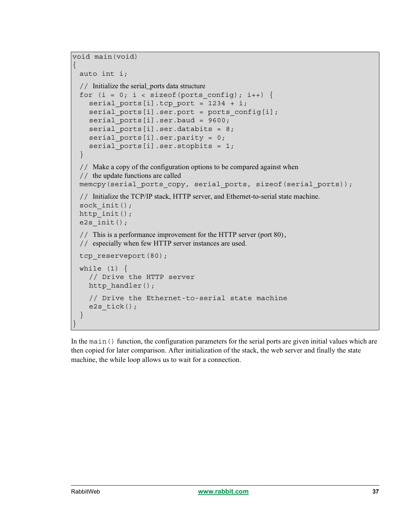```
void main(void)
{
 auto int i;
 // Initialize the serial_ports data structure
 for (i = 0; i < sizeof(ports config); i++) {
    serial ports[i].tcp port = 1234 + i;
    serial_ports[i].ser.port = ports_config[i];
    serial ports[i].ser.baud = 9600;
    serial ports[i].ser.databits = 8;serial_ports[i].ser.parity = 0;
    serial ports[i].ser.stopbits = 1;}
 // Make a copy of the configuration options to be compared against when 
 // the update functions are called
 memcpy(serial_ports_copy, serial_ports, sizeof(serial_ports));
 // Initialize the TCP/IP stack, HTTP server, and Ethernet-to-serial state machine.
 sock init();
 http init();
 e2s_init();
 // This is a performance improvement for the HTTP server (port 80),
 // especially when few HTTP server instances are used.
 tcp_reserveport(80);
 while (1) {
    // Drive the HTTP server
    http handler();
    // Drive the Ethernet-to-serial state machine
    e2s tick();
 }
}
```
In the main() function, the configuration parameters for the serial ports are given initial values which are then copied for later comparison. After initialization of the stack, the web server and finally the state machine, the while loop allows us to wait for a connection.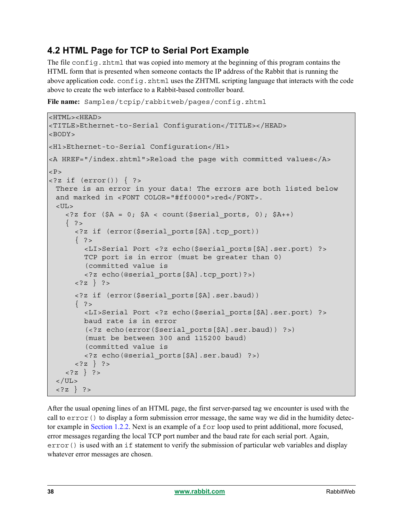## **4.2 HTML Page for TCP to Serial Port Example**

The file config. zhtml that was copied into memory at the beginning of this program contains the HTML form that is presented when someone contacts the IP address of the Rabbit that is running the above application code. config. zhtml uses the ZHTML scripting language that interacts with the code above to create the web interface to a Rabbit-based controller board.

```
File name: Samples/tcpip/rabbitweb/pages/config.zhtml
```

```
<HTML><HEAD>
<TITLE>Ethernet-to-Serial Configuration</TITLE></HEAD>
<BODY>
<H1>Ethernet-to-Serial Configuration</H1>
<A HREF="/index.zhtml">Reload the page with committed values</A>
P<?z if (error()) { ?>
 There is an error in your data! The errors are both listed below
 and marked in <FONT COLOR="#ff0000">red</FONT>.
 <UL>
    \langle 2z \text{ for } (\xi A = 0; \xi A < \text{count}(\xi \xi) ports, 0); \xi A++\{ ? >
      <?z if (error($serial_ports[$A].tcp_port))
      \{ ? \ge<LI>Serial Port <?z echo($serial_ports[$A].ser.port) ?>
        TCP port is in error (must be greater than 0)
         (committed value is
        <?z echo(@serial_ports[$A].tcp_port)?>)
      \langle ?z \rangle ?>
      <?z if (error($serial_ports[$A].ser.baud))
      \{ ? \ge<LI>Serial Port <?z echo($serial_ports[$A].ser.port) ?>
        baud rate is in error 
         (<?z echo(error($serial_ports[$A].ser.baud)) ?>)
         (must be between 300 and 115200 baud)
         (committed value is
        <?z echo(@serial_ports[$A].ser.baud) ?>)
      \langle ?z \rangle ?>
    <?z } ?>
 \langle /UL>
 <?z } ?>
```
After the usual opening lines of an HTML page, the first server-parsed tag we encounter is used with the call to  $error()$  to display a form submission error message, the same way we did in the humidity detector example in [Section 1.2.2.](#page-7-0) Next is an example of a for loop used to print additional, more focused, error messages regarding the local TCP port number and the baud rate for each serial port. Again, error() is used with an if statement to verify the submission of particular web variables and display whatever error messages are chosen.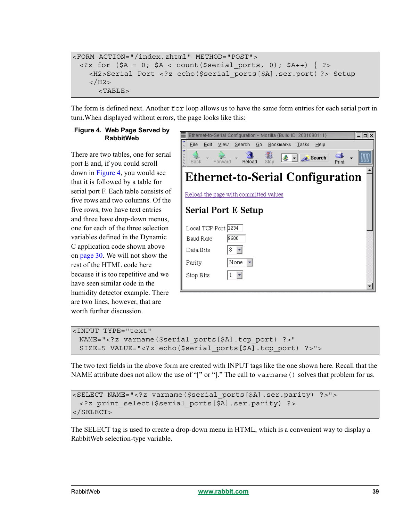```
<FORM ACTION="/index.zhtml" METHOD="POST">
 <?z for (\$A = 0; \$A < count($serial ports, 0); \$A++) { ?>
   <H2>Serial Port <?z echo($serial_ports[$A].ser.port) ?> Setup
   </H2><TABLE>
```
The form is defined next. Another for loop allows us to have the same form entries for each serial port in turn.When displayed without errors, the page looks like this:

#### <span id="page-38-0"></span>**Figure 4. Web Page Served by RabbitWeb**

There are two tables, one for serial port E and, if you could scroll down in [Figure 4](#page-38-0), you would see that it is followed by a table for serial port F. Each table consists of five rows and two columns. Of the five rows, two have text entries and three have drop-down menus, one for each of the three selection variables defined in the Dynamic C application code shown above on [page 30](#page-29-0). We will not show the rest of the HTML code here because it is too repetitive and we have seen similar code in the humidity detector example. There are two lines, however, that are worth further discussion.



```
<INPUT TYPE="text"
 NAME="<?z varname($serial_ports[$A].tcp_port) ?>" 
 SIZE=5 VALUE="<?z echo($serial_ports[$A].tcp_port) ?>">
```
The two text fields in the above form are created with INPUT tags like the one shown here. Recall that the NAME attribute does not allow the use of "[" or "]." The call to varname () solves that problem for us.

```
<SELECT NAME="<?z varname($serial_ports[$A].ser.parity) ?>">
 <?z print_select($serial_ports[$A].ser.parity) ?>
</SELECT>
```
The SELECT tag is used to create a drop-down menu in HTML, which is a convenient way to display a RabbitWeb selection-type variable.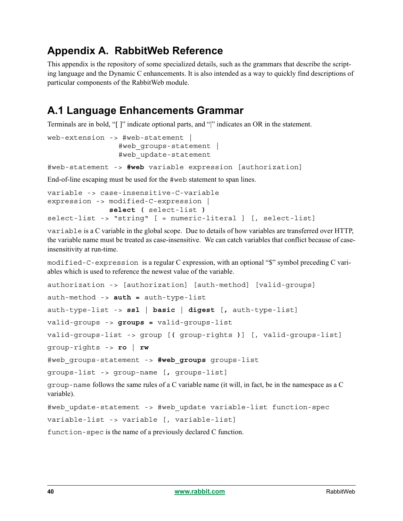## <span id="page-39-0"></span>**Appendix A. RabbitWeb Reference**

This appendix is the repository of some specialized details, such as the grammars that describe the scripting language and the Dynamic C enhancements. It is also intended as a way to quickly find descriptions of particular components of the RabbitWeb module.

## **A.1 Language Enhancements Grammar**

Terminals are in bold, "[ ]" indicate optional parts, and "|" indicates an OR in the statement.

```
web-extension -> #web-statement |
                #web_groups-statement |
                #web_update-statement
```
#web-statement -> **#web** variable expression [authorization]

End-of-line escaping must be used for the #web statement to span lines.

```
variable -> case-insensitive-C-variable
expression -> modified-C-expression |
               select ( select-list )
select-list -> "string" [ = numeric-literal ] [, select-list]
```
variable is a C variable in the global scope. Due to details of how variables are transferred over HTTP, the variable name must be treated as case-insensitive. We can catch variables that conflict because of caseinsensitivity at run-time.

modified-C-expression is a regular C expression, with an optional "\$" symbol preceding C variables which is used to reference the newest value of the variable.

```
authorization -> [authorization] [auth-method] [valid-groups]
auth-method -> auth = auth-type-list
auth-type-list -> ssl | basic | digest [, auth-type-list]
valid-groups -> groups = valid-groups-list
valid-groups-list -> group [( group-rights )] [, valid-groups-list]
group-rights -> ro | rw
#web_groups-statement -> #web_groups groups-list
groups-list -> group-name [, groups-list]
group-name follows the same rules of a C variable name (it will, in fact, be in the namespace as a C 
variable).
#web update-statement -> #web update variable-list function-spec
variable-list -> variable [, variable-list]
```
function-spec is the name of a previously declared C function.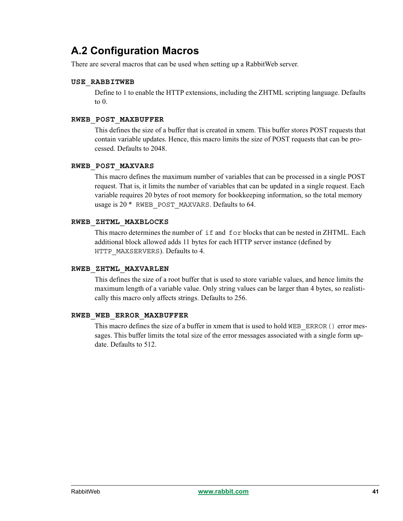## **A.2 Configuration Macros**

There are several macros that can be used when setting up a RabbitWeb server.

#### **USE\_RABBITWEB**

Define to 1 to enable the HTTP extensions, including the ZHTML scripting language. Defaults to 0.

### **RWEB\_POST\_MAXBUFFER**

This defines the size of a buffer that is created in xmem. This buffer stores POST requests that contain variable updates. Hence, this macro limits the size of POST requests that can be processed. Defaults to 2048.

### **RWEB\_POST\_MAXVARS**

This macro defines the maximum number of variables that can be processed in a single POST request. That is, it limits the number of variables that can be updated in a single request. Each variable requires 20 bytes of root memory for bookkeeping information, so the total memory usage is  $20 * RWEB$  POST MAXVARS. Defaults to 64.

### **RWEB\_ZHTML\_MAXBLOCKS**

This macro determines the number of if and for blocks that can be nested in ZHTML. Each additional block allowed adds 11 bytes for each HTTP server instance (defined by HTTP\_MAXSERVERS). Defaults to 4.

#### **RWEB\_ZHTML\_MAXVARLEN**

This defines the size of a root buffer that is used to store variable values, and hence limits the maximum length of a variable value. Only string values can be larger than 4 bytes, so realistically this macro only affects strings. Defaults to 256.

#### **RWEB\_WEB\_ERROR\_MAXBUFFER**

This macro defines the size of a buffer in xmem that is used to hold WEB\_ERROR() error messages. This buffer limits the total size of the error messages associated with a single form update. Defaults to 512.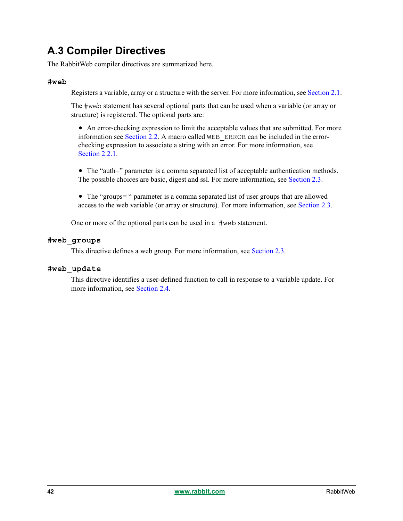## **A.3 Compiler Directives**

The RabbitWeb compiler directives are summarized here.

#### **#web**

Registers a variable, array or a structure with the server. For more information, see [Section 2.1.](#page-10-1)

The #web statement has several optional parts that can be used when a variable (or array or structure) is registered. The optional parts are:

• An error-checking expression to limit the acceptable values that are submitted. For more information see [Section 2.2](#page-12-0). A macro called WEB\_ERROR can be included in the errorchecking expression to associate a string with an error. For more information, see [Section 2.2.1](#page-14-0)

• The "auth=" parameter is a comma separated list of acceptable authentication methods. The possible choices are basic, digest and ssl. For more information, see [Section 2.3](#page-15-0).

• The "groups=" parameter is a comma separated list of user groups that are allowed access to the web variable (or array or structure). For more information, see [Section 2.3.](#page-15-0)

One or more of the optional parts can be used in a #web statement.

### **#web\_groups**

This directive defines a web group. For more information, see [Section 2.3.](#page-15-0)

### **#web\_update**

This directive identifies a user-defined function to call in response to a variable update. For more information, see [Section 2.4.](#page-16-0)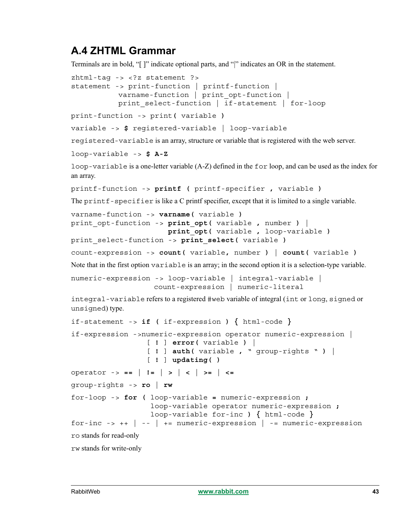## **A.4 ZHTML Grammar**

Terminals are in bold, "[ ]" indicate optional parts, and "|" indicates an OR in the statement.

```
zhtml-tag -> <?z statement ?>
statement -> print-function | printf-function |
          varname-function | print opt-function |
          print select-function | if-statement | for-loop
print-function -> print( variable )
variable -> $ registered-variable | loop-variable
```
registered-variable is an array, structure or variable that is registered with the web server.

```
loop-variable -> $ A-Z
```
loop-variable is a one-letter variable (A-Z) defined in the for loop, and can be used as the index for an array.

```
printf-function -> printf ( printf-specifier , variable )
```
The print f-specifier is like a C printf specifier, except that it is limited to a single variable.

```
varname-function -> varname( variable )
print_opt-function -> print_opt( variable , number ) |
                       print_opt( variable , loop-variable )
print_select-function -> print_select( variable )
```

```
count-expression -> count( variable, number ) | count( variable )
```
Note that in the first option variable is an array; in the second option it is a selection-type variable.

```
numeric-expression -> loop-variable | integral-variable |
                  count-expression | numeric-literal
```
integral-variable refers to a registered #web variable of integral (int or long, signed or unsigned) type.

```
if-statement -> if ( if-expression ) { html-code }
if-expression ->numeric-expression operator numeric-expression |
                    [ ! ] error( variable ) |
                    [ ! ] auth( variable , " group-rights " ) |
                   [ ! ] updating( )
operator -> == | != | > | < | >= | <=
group-rights -> ro | rw
for-loop -> for ( loop-variable = numeric-expression ;
                    loop-variable operator numeric-expression ;
                    loop-variable for-inc ) { html-code }
for-inc \rightarrow ++ \vert -- \vert += numeric-expression \vert -= numeric-expression
ro stands for read-only
rw stands for write-only
```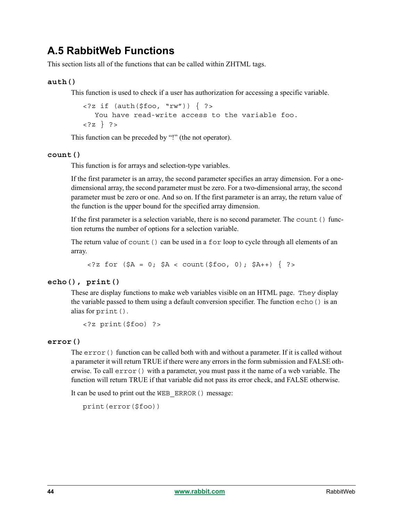## **A.5 RabbitWeb Functions**

This section lists all of the functions that can be called within ZHTML tags.

### **auth()**

This function is used to check if a user has authorization for accessing a specific variable.

```
\langle \cdots 2 if (auth($foo, "rw")) { ? >
   You have read-write access to the variable foo.
<?z } ?>
```
This function can be preceded by "!" (the not operator).

#### **count()**

This function is for arrays and selection-type variables.

If the first parameter is an array, the second parameter specifies an array dimension. For a onedimensional array, the second parameter must be zero. For a two-dimensional array, the second parameter must be zero or one. And so on. If the first parameter is an array, the return value of the function is the upper bound for the specified array dimension.

If the first parameter is a selection variable, there is no second parameter. The count () function returns the number of options for a selection variable.

The return value of count () can be used in a for loop to cycle through all elements of an array.

 $\langle 2z \text{ for } (\$A = 0; \$A < \text{count}(\$ \text{foo}, 0); \$A++) \{ ?\}\rangle$ 

#### **echo(), print()**

These are display functions to make web variables visible on an HTML page. They display the variable passed to them using a default conversion specifier. The function  $\epsilon$ cho() is an alias for print().

```
<?z print($foo) ?>
```
#### **error()**

The  $error()$  function can be called both with and without a parameter. If it is called without a parameter it will return TRUE if there were any errors in the form submission and FALSE otherwise. To call  $error()$  with a parameter, you must pass it the name of a web variable. The function will return TRUE if that variable did not pass its error check, and FALSE otherwise.

It can be used to print out the WEB\_ERROR() message:

```
print(error($foo))
```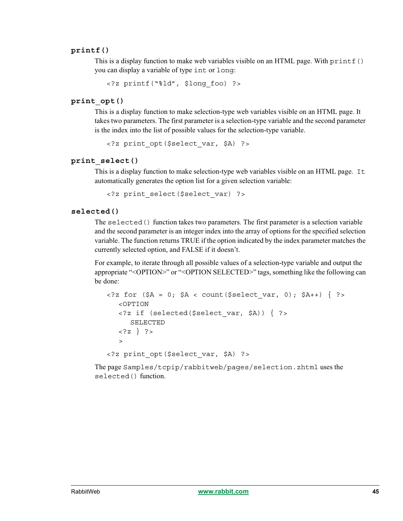#### **printf()**

This is a display function to make web variables visible on an HTML page. With printf() you can display a variable of type int or long:

<?z printf("%ld", \$long\_foo) ?>

#### **print\_opt()**

This is a display function to make selection-type web variables visible on an HTML page. It takes two parameters. The first parameter is a selection-type variable and the second parameter is the index into the list of possible values for the selection-type variable.

<?z print\_opt(\$select\_var, \$A) ?>

#### **print\_select()**

This is a display function to make selection-type web variables visible on an HTML page. It automatically generates the option list for a given selection variable:

<?z print\_select(\$select\_var) ?>

#### **selected()**

The selected() function takes two parameters. The first parameter is a selection variable and the second parameter is an integer index into the array of options for the specified selection variable. The function returns TRUE if the option indicated by the index parameter matches the currently selected option, and FALSE if it doesn't.

For example, to iterate through all possible values of a selection-type variable and output the appropriate "<OPTION>" or "<OPTION SELECTED>" tags, something like the following can be done:

```
\langle <?z for ($A = 0; $A < count($select var, 0); $A++) { ?>
   <OPTION
   \langle?z if (selected($select var, $A)) { ?>
      SELECTED
   \langle ?z \rangle ?>
   \rightarrow<?z print_opt($select_var, $A) ?>
```
The page Samples/tcpip/rabbitweb/pages/selection.zhtml uses the selected() function.